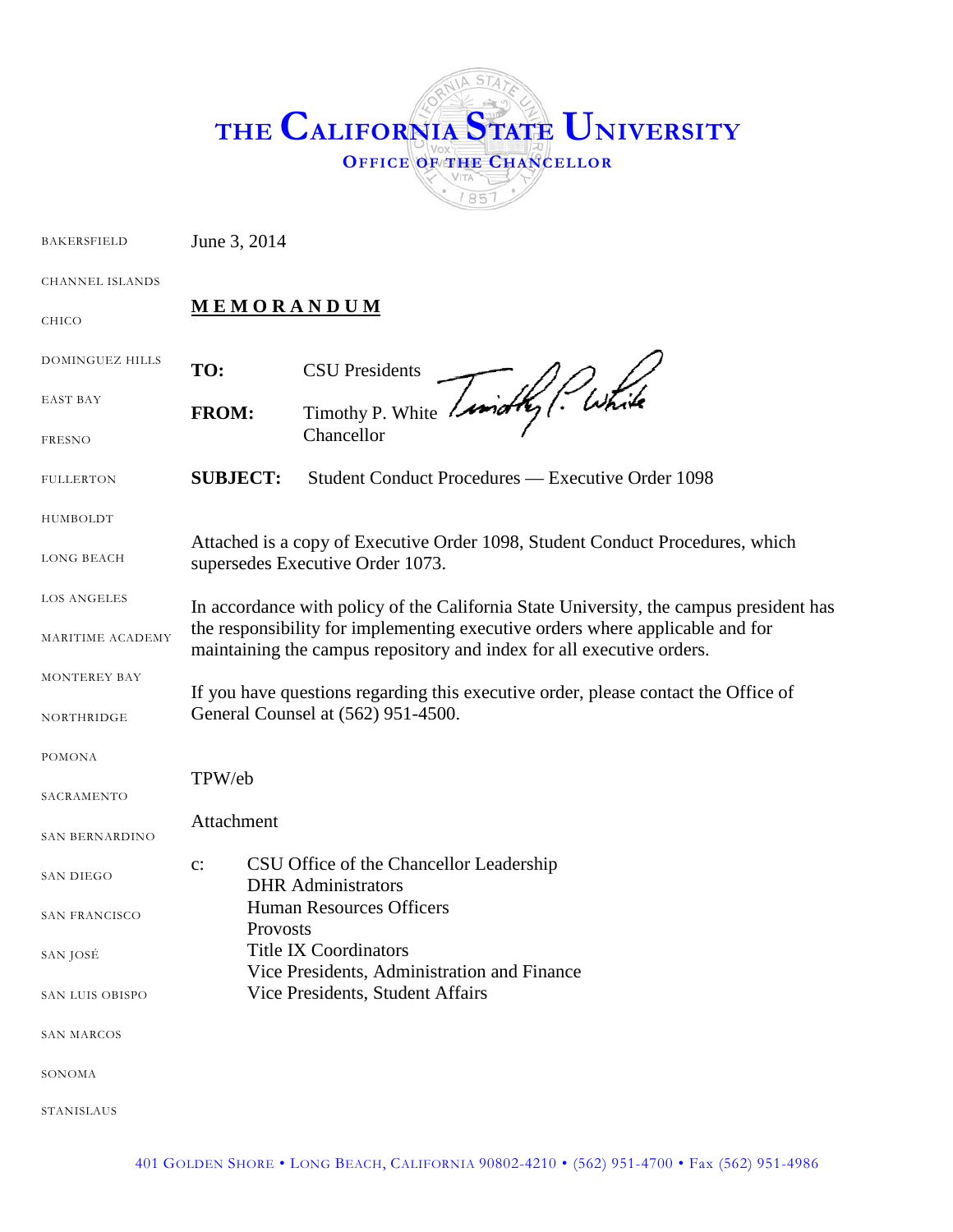| THE CALIFORNIA STATE UNIVERSITY<br><b>OFFICE OF THE CHANCELLOR</b> |
|--------------------------------------------------------------------|
|--------------------------------------------------------------------|

<span id="page-0-0"></span>

| <b>BAKERSFIELD</b>     | June 3, 2014                                                                                                                                           |                                                                                        |  |
|------------------------|--------------------------------------------------------------------------------------------------------------------------------------------------------|----------------------------------------------------------------------------------------|--|
| <b>CHANNEL ISLANDS</b> |                                                                                                                                                        |                                                                                        |  |
| <b>CHICO</b>           | <b>MEMORANDUM</b>                                                                                                                                      |                                                                                        |  |
| DOMINGUEZ HILLS        | TO:                                                                                                                                                    | <b>CSU</b> Presidents                                                                  |  |
| EAST BAY               | <b>FROM:</b>                                                                                                                                           | Timothy P. White Limathy (While<br>Chancellor                                          |  |
| <b>FRESNO</b>          |                                                                                                                                                        |                                                                                        |  |
| <b>FULLERTON</b>       | <b>SUBJECT:</b>                                                                                                                                        | Student Conduct Procedures — Executive Order 1098                                      |  |
| HUMBOLDT               |                                                                                                                                                        |                                                                                        |  |
| <b>LONG BEACH</b>      | Attached is a copy of Executive Order 1098, Student Conduct Procedures, which<br>supersedes Executive Order 1073.                                      |                                                                                        |  |
| <b>LOS ANGELES</b>     |                                                                                                                                                        | In accordance with policy of the California State University, the campus president has |  |
| MARITIME ACADEMY       | the responsibility for implementing executive orders where applicable and for<br>maintaining the campus repository and index for all executive orders. |                                                                                        |  |
| MONTEREY BAY           |                                                                                                                                                        |                                                                                        |  |
| NORTHRIDGE             | If you have questions regarding this executive order, please contact the Office of<br>General Counsel at (562) 951-4500.                               |                                                                                        |  |
| <b>POMONA</b>          |                                                                                                                                                        |                                                                                        |  |
|                        | TPW/eb                                                                                                                                                 |                                                                                        |  |
| SACRAMENTO             |                                                                                                                                                        |                                                                                        |  |
| SAN BERNARDINO         | Attachment                                                                                                                                             |                                                                                        |  |
| SAN DIEGO              | $\mathbf{c}$ :                                                                                                                                         | CSU Office of the Chancellor Leadership<br><b>DHR</b> Administrators                   |  |
| <b>SAN FRANCISCO</b>   | <b>Human Resources Officers</b><br>Provosts<br><b>Title IX Coordinators</b><br>Vice Presidents, Administration and Finance                             |                                                                                        |  |
| SAN JOSÉ               |                                                                                                                                                        |                                                                                        |  |
| SAN LUIS OBISPO        |                                                                                                                                                        | Vice Presidents, Student Affairs                                                       |  |
| SAN MARCOS             |                                                                                                                                                        |                                                                                        |  |
| SONOMA                 |                                                                                                                                                        |                                                                                        |  |
| STANISLAUS             |                                                                                                                                                        |                                                                                        |  |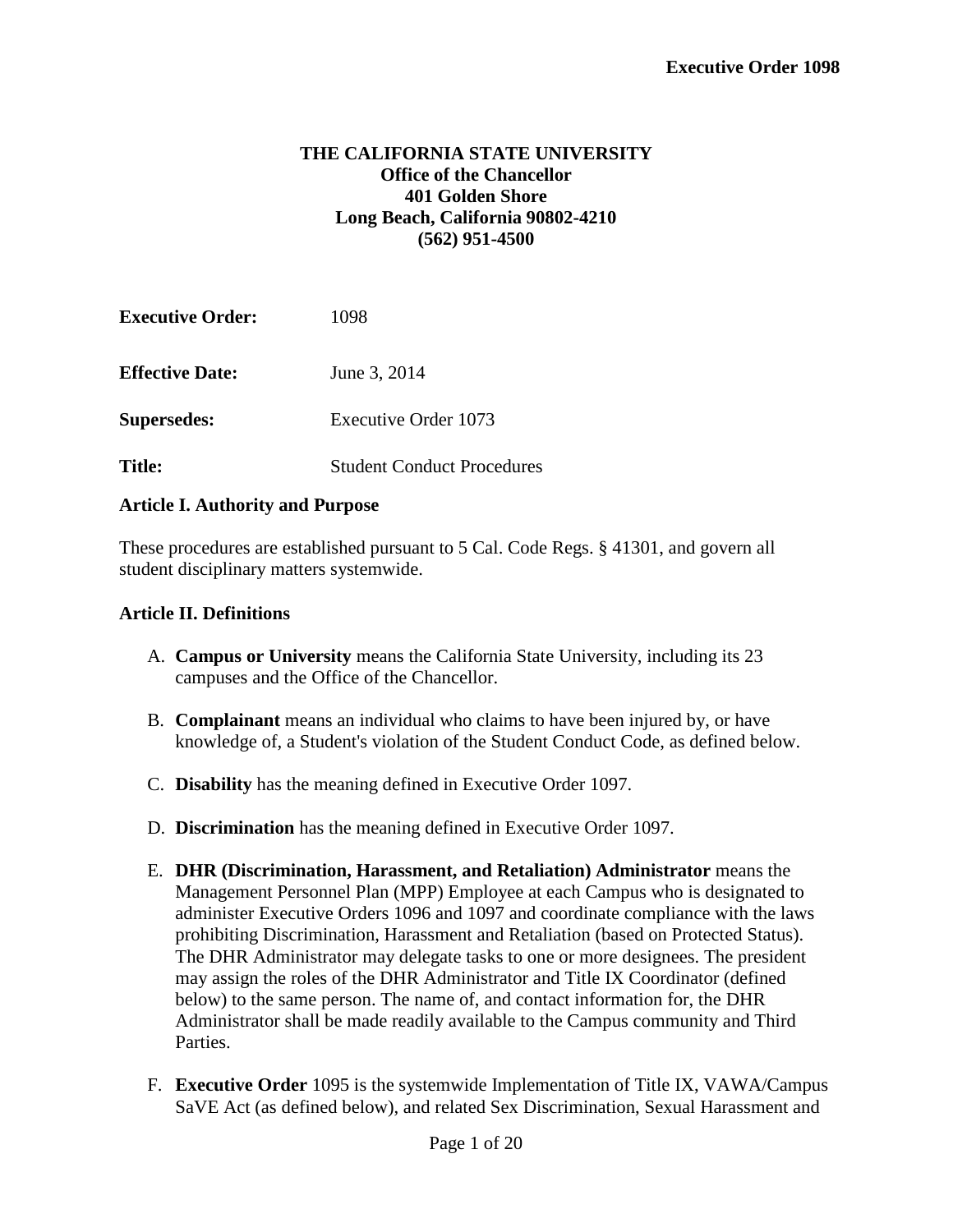### **THE CALIFORNIA STATE UNIVERSITY Office of the Chancellor 401 Golden Shore Long Beach, California 90802-4210 (562) 951-4500**

| <b>Executive Order:</b> | 1098                              |
|-------------------------|-----------------------------------|
| <b>Effective Date:</b>  | June 3, 2014                      |
| <b>Supersedes:</b>      | Executive Order 1073              |
| <b>Title:</b>           | <b>Student Conduct Procedures</b> |

#### **Article I. Authority and Purpose**

These procedures are established pursuant to 5 Cal. Code Regs. § 41301, and govern all student disciplinary matters systemwide.

#### **Article II. Definitions**

- A. **Campus or University** means the California State University, including its 23 campuses and the Office of the Chancellor.
- B. **Complainant** means an individual who claims to have been injured by, or have knowledge of, a Student's violation of the Student Conduct Code, as defined below.
- C. **Disability** has the meaning defined in Executive Order 1097.
- D. **Discrimination** has the meaning defined in Executive Order 1097.
- E. **DHR (Discrimination, Harassment, and Retaliation) Administrator** means the Management Personnel Plan (MPP) Employee at each Campus who is designated to administer Executive Orders 1096 and 1097 and coordinate compliance with the laws prohibiting Discrimination, Harassment and Retaliation (based on Protected Status). The DHR Administrator may delegate tasks to one or more designees. The president may assign the roles of the DHR Administrator and Title IX Coordinator (defined below) to the same person. The name of, and contact information for, the DHR Administrator shall be made readily available to the Campus community and Third Parties.
- F. **Executive Order** 1095 is the systemwide Implementation of Title IX, VAWA/Campus SaVE Act (as defined below), and related Sex Discrimination, Sexual Harassment and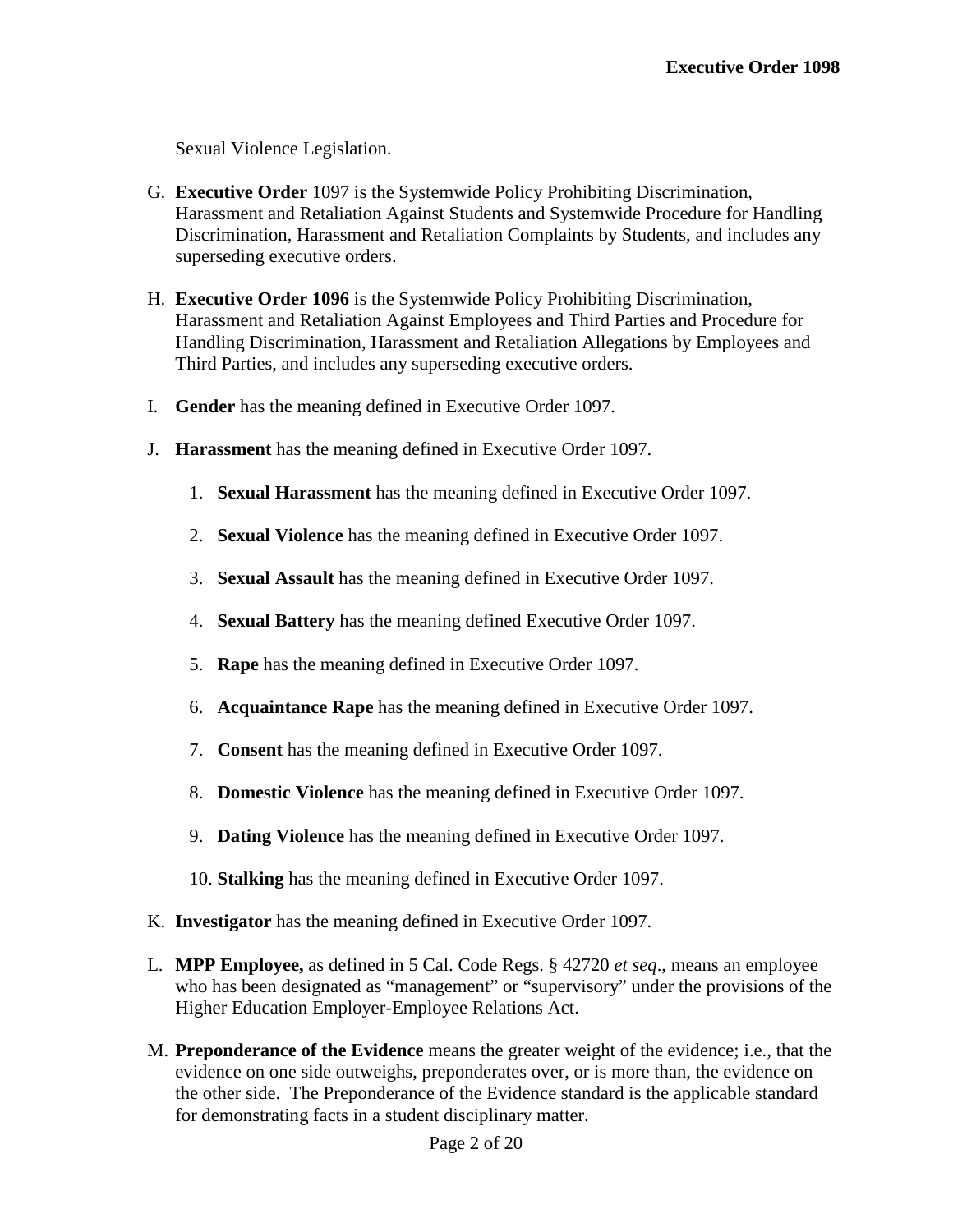Sexual Violence Legislation.

- G. **Executive Order** 1097 is the Systemwide Policy Prohibiting Discrimination, Harassment and Retaliation Against Students and Systemwide Procedure for Handling Discrimination, Harassment and Retaliation Complaints by Students, and includes any superseding executive orders.
- H. **Executive Order 1096** is the Systemwide Policy Prohibiting Discrimination, Harassment and Retaliation Against Employees and Third Parties and Procedure for Handling Discrimination, Harassment and Retaliation Allegations by Employees and Third Parties, and includes any superseding executive orders.
- I. **Gender** has the meaning defined in Executive Order 1097.
- J. **Harassment** has the meaning defined in Executive Order 1097.
	- 1. **Sexual Harassment** has the meaning defined in Executive Order 1097.
	- 2. **Sexual Violence** has the meaning defined in Executive Order 1097.
	- 3. **Sexual Assault** has the meaning defined in Executive Order 1097.
	- 4. **Sexual Battery** has the meaning defined Executive Order 1097.
	- 5. **Rape** has the meaning defined in Executive Order 1097.
	- 6. **Acquaintance Rape** has the meaning defined in Executive Order 1097.
	- 7. **Consent** has the meaning defined in Executive Order 1097.
	- 8. **Domestic Violence** has the meaning defined in Executive Order 1097.
	- 9. **Dating Violence** has the meaning defined in Executive Order 1097.
	- 10. **Stalking** has the meaning defined in Executive Order 1097.
- K. **Investigator** has the meaning defined in Executive Order 1097.
- L. **MPP Employee,** as defined in 5 Cal. Code Regs. § 42720 *et seq*., means an employee who has been designated as "management" or "supervisory" under the provisions of the Higher Education Employer-Employee Relations Act.
- M. **Preponderance of the Evidence** means the greater weight of the evidence; i.e., that the evidence on one side outweighs, preponderates over, or is more than, the evidence on the other side. The Preponderance of the Evidence standard is the applicable standard for demonstrating facts in a student disciplinary matter.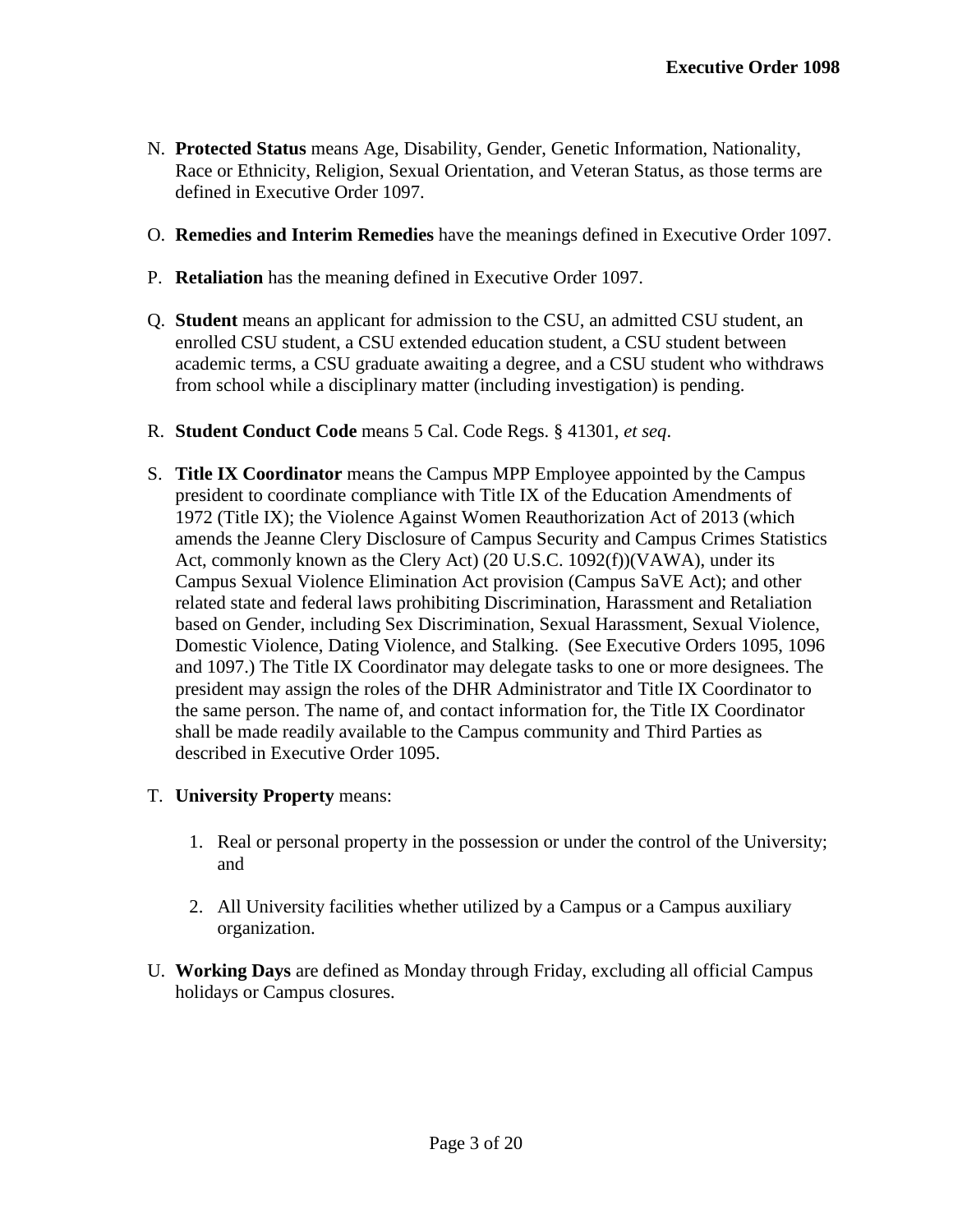- N. **Protected Status** means Age, Disability, Gender, Genetic Information, Nationality, Race or Ethnicity, Religion, Sexual Orientation, and Veteran Status, as those terms are defined in Executive Order 1097.
- O. **Remedies and Interim Remedies** have the meanings defined in Executive Order 1097.
- P. **Retaliation** has the meaning defined in Executive Order 1097.
- Q. **Student** means an applicant for admission to the CSU, an admitted CSU student, an enrolled CSU student, a CSU extended education student, a CSU student between academic terms, a CSU graduate awaiting a degree, and a CSU student who withdraws from school while a disciplinary matter (including investigation) is pending.
- R. **Student Conduct Code** means 5 Cal. Code Regs. § 41301, *et seq*.
- S. **Title IX Coordinator** means the Campus MPP Employee appointed by the Campus president to coordinate compliance with Title IX of the Education Amendments of 1972 (Title IX); the Violence Against Women Reauthorization Act of 2013 (which amends the Jeanne Clery Disclosure of Campus Security and Campus Crimes Statistics Act, commonly known as the Clery Act) (20 U.S.C. 1092(f))(VAWA), under its Campus Sexual Violence Elimination Act provision (Campus SaVE Act); and other related state and federal laws prohibiting Discrimination, Harassment and Retaliation based on Gender, including Sex Discrimination, Sexual Harassment, Sexual Violence, Domestic Violence, Dating Violence, and Stalking. (See Executive Orders 1095, 1096 and 1097.) The Title IX Coordinator may delegate tasks to one or more designees. The president may assign the roles of the DHR Administrator and Title IX Coordinator to the same person. The name of, and contact information for, the Title IX Coordinator shall be made readily available to the Campus community and Third Parties as described in Executive Order 1095.
- T. **University Property** means:
	- 1. Real or personal property in the possession or under the control of the University; and
	- 2. All University facilities whether utilized by a Campus or a Campus auxiliary organization.
- U. **Working Days** are defined as Monday through Friday, excluding all official Campus holidays or Campus closures.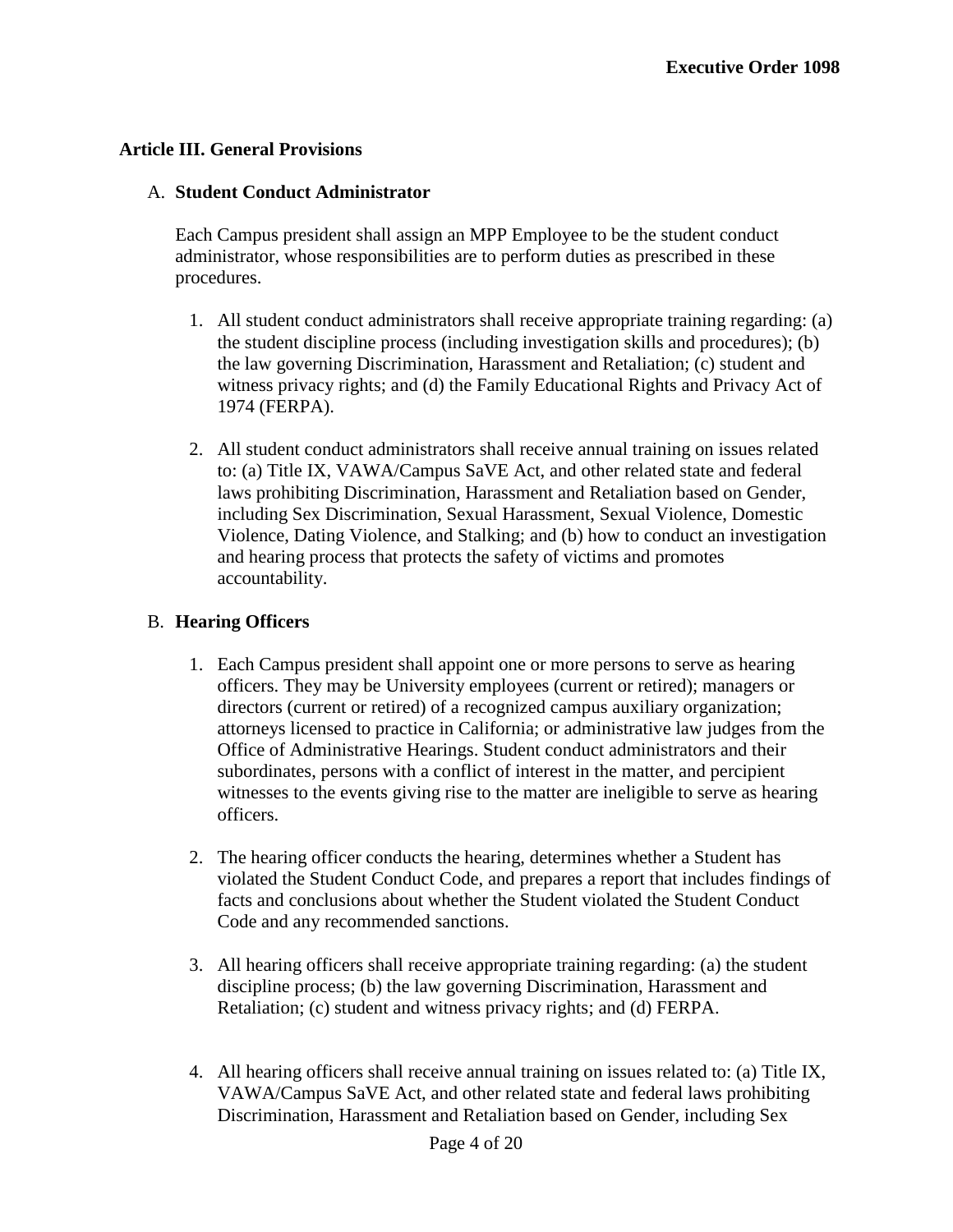## **Article III. General Provisions**

#### A. **Student Conduct Administrator**

Each Campus president shall assign an MPP Employee to be the student conduct administrator, whose responsibilities are to perform duties as prescribed in these procedures.

- 1. All student conduct administrators shall receive appropriate training regarding: (a) the student discipline process (including investigation skills and procedures); (b) the law governing Discrimination, Harassment and Retaliation; (c) student and witness privacy rights; and (d) the Family Educational Rights and Privacy Act of 1974 (FERPA).
- 2. All student conduct administrators shall receive annual training on issues related to: (a) Title IX, VAWA/Campus SaVE Act, and other related state and federal laws prohibiting Discrimination, Harassment and Retaliation based on Gender, including Sex Discrimination, Sexual Harassment, Sexual Violence, Domestic Violence, Dating Violence, and Stalking; and (b) how to conduct an investigation and hearing process that protects the safety of victims and promotes accountability.

## B. **Hearing Officers**

- 1. Each Campus president shall appoint one or more persons to serve as hearing officers. They may be University employees (current or retired); managers or directors (current or retired) of a recognized campus auxiliary organization; attorneys licensed to practice in California; or administrative law judges from the Office of Administrative Hearings. Student conduct administrators and their subordinates, persons with a conflict of interest in the matter, and percipient witnesses to the events giving rise to the matter are ineligible to serve as hearing officers.
- 2. The hearing officer conducts the hearing, determines whether a Student has violated the Student Conduct Code, and prepares a report that includes findings of facts and conclusions about whether the Student violated the Student Conduct Code and any recommended sanctions.
- 3. All hearing officers shall receive appropriate training regarding: (a) the student discipline process; (b) the law governing Discrimination, Harassment and Retaliation; (c) student and witness privacy rights; and (d) FERPA.
- 4. All hearing officers shall receive annual training on issues related to: (a) Title IX, VAWA/Campus SaVE Act, and other related state and federal laws prohibiting Discrimination, Harassment and Retaliation based on Gender, including Sex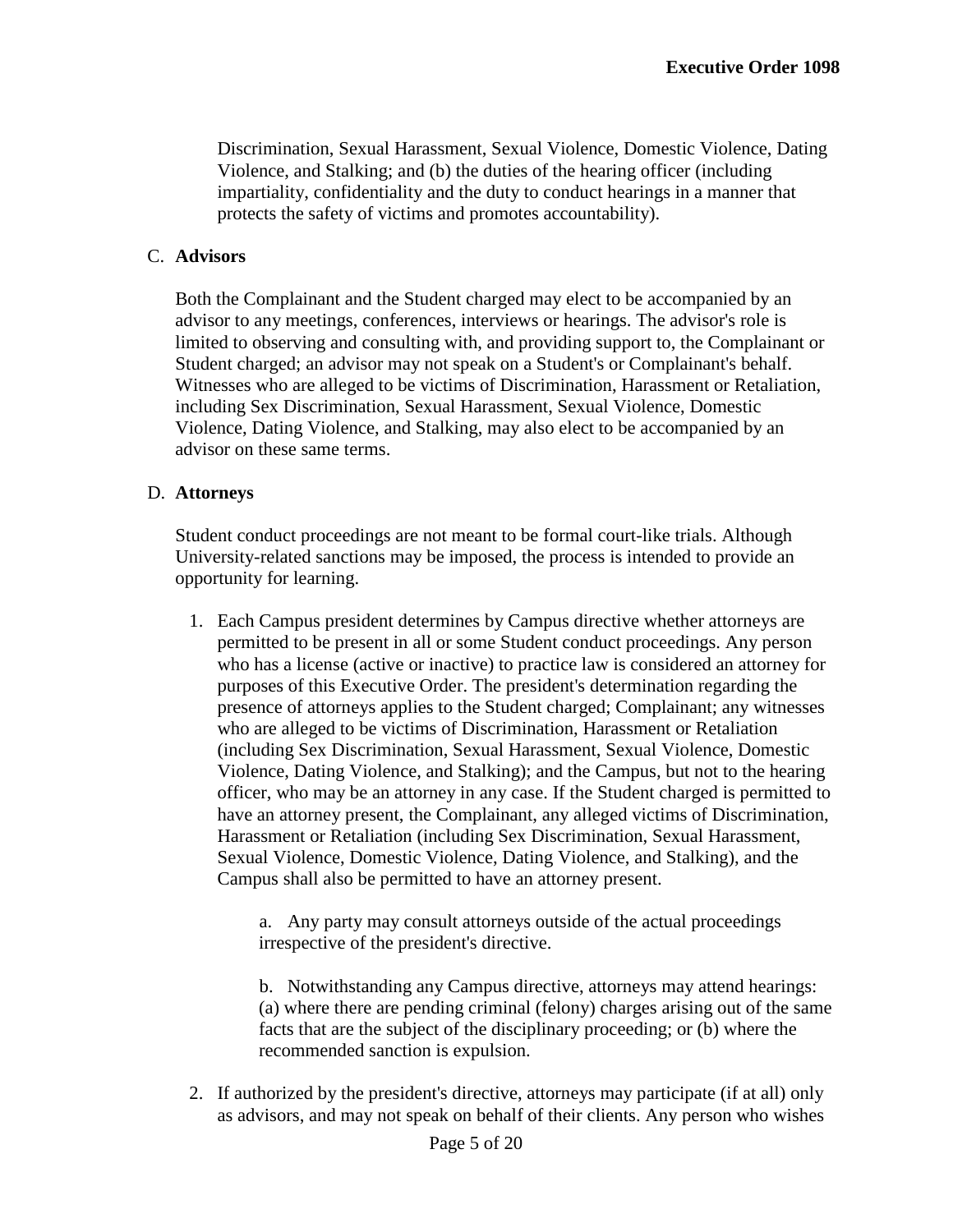Discrimination, Sexual Harassment, Sexual Violence, Domestic Violence, Dating Violence, and Stalking; and (b) the duties of the hearing officer (including impartiality, confidentiality and the duty to conduct hearings in a manner that protects the safety of victims and promotes accountability).

#### C. **Advisors**

Both the Complainant and the Student charged may elect to be accompanied by an advisor to any meetings, conferences, interviews or hearings. The advisor's role is limited to observing and consulting with, and providing support to, the Complainant or Student charged; an advisor may not speak on a Student's or Complainant's behalf. Witnesses who are alleged to be victims of Discrimination, Harassment or Retaliation, including Sex Discrimination, Sexual Harassment, Sexual Violence, Domestic Violence, Dating Violence, and Stalking, may also elect to be accompanied by an advisor on these same terms.

#### D. **Attorneys**

Student conduct proceedings are not meant to be formal court-like trials. Although University-related sanctions may be imposed, the process is intended to provide an opportunity for learning.

1. Each Campus president determines by Campus directive whether attorneys are permitted to be present in all or some Student conduct proceedings. Any person who has a license (active or inactive) to practice law is considered an attorney for purposes of this Executive Order. The president's determination regarding the presence of attorneys applies to the Student charged; Complainant; any witnesses who are alleged to be victims of Discrimination, Harassment or Retaliation (including Sex Discrimination, Sexual Harassment, Sexual Violence, Domestic Violence, Dating Violence, and Stalking); and the Campus, but not to the hearing officer, who may be an attorney in any case. If the Student charged is permitted to have an attorney present, the Complainant, any alleged victims of Discrimination, Harassment or Retaliation (including Sex Discrimination, Sexual Harassment, Sexual Violence, Domestic Violence, Dating Violence, and Stalking), and the Campus shall also be permitted to have an attorney present.

> a. Any party may consult attorneys outside of the actual proceedings irrespective of the president's directive.

b. Notwithstanding any Campus directive, attorneys may attend hearings: (a) where there are pending criminal (felony) charges arising out of the same facts that are the subject of the disciplinary proceeding; or (b) where the recommended sanction is expulsion.

2. If authorized by the president's directive, attorneys may participate (if at all) only as advisors, and may not speak on behalf of their clients. Any person who wishes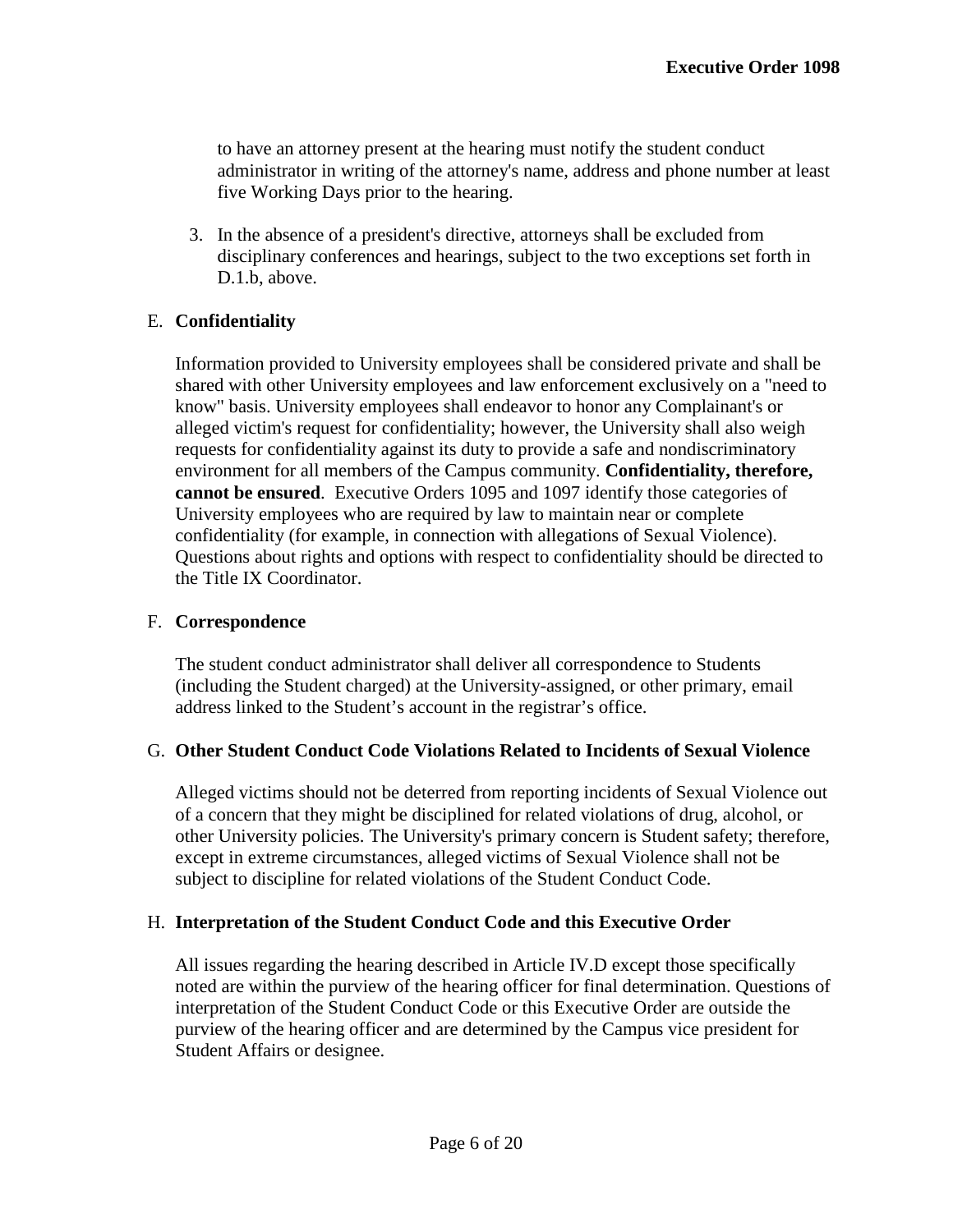to have an attorney present at the hearing must notify the student conduct administrator in writing of the attorney's name, address and phone number at least five Working Days prior to the hearing.

3. In the absence of a president's directive, attorneys shall be excluded from disciplinary conferences and hearings, subject to the two exceptions set forth in D.1.b, above.

# E. **Confidentiality**

Information provided to University employees shall be considered private and shall be shared with other University employees and law enforcement exclusively on a "need to know" basis. University employees shall endeavor to honor any Complainant's or alleged victim's request for confidentiality; however, the University shall also weigh requests for confidentiality against its duty to provide a safe and nondiscriminatory environment for all members of the Campus community. **Confidentiality, therefore, cannot be ensured**. Executive Orders 1095 and 1097 identify those categories of University employees who are required by law to maintain near or complete confidentiality (for example, in connection with allegations of Sexual Violence). Questions about rights and options with respect to confidentiality should be directed to the Title IX Coordinator.

## F. **Correspondence**

The student conduct administrator shall deliver all correspondence to Students (including the Student charged) at the University-assigned, or other primary, email address linked to the Student's account in the registrar's office.

## G. **Other Student Conduct Code Violations Related to Incidents of Sexual Violence**

Alleged victims should not be deterred from reporting incidents of Sexual Violence out of a concern that they might be disciplined for related violations of drug, alcohol, or other University policies. The University's primary concern is Student safety; therefore, except in extreme circumstances, alleged victims of Sexual Violence shall not be subject to discipline for related violations of the Student Conduct Code.

## H. **Interpretation of the Student Conduct Code and this Executive Order**

All issues regarding the hearing described in Article IV.D except those specifically noted are within the purview of the hearing officer for final determination. Questions of interpretation of the Student Conduct Code or this Executive Order are outside the purview of the hearing officer and are determined by the Campus vice president for Student Affairs or designee.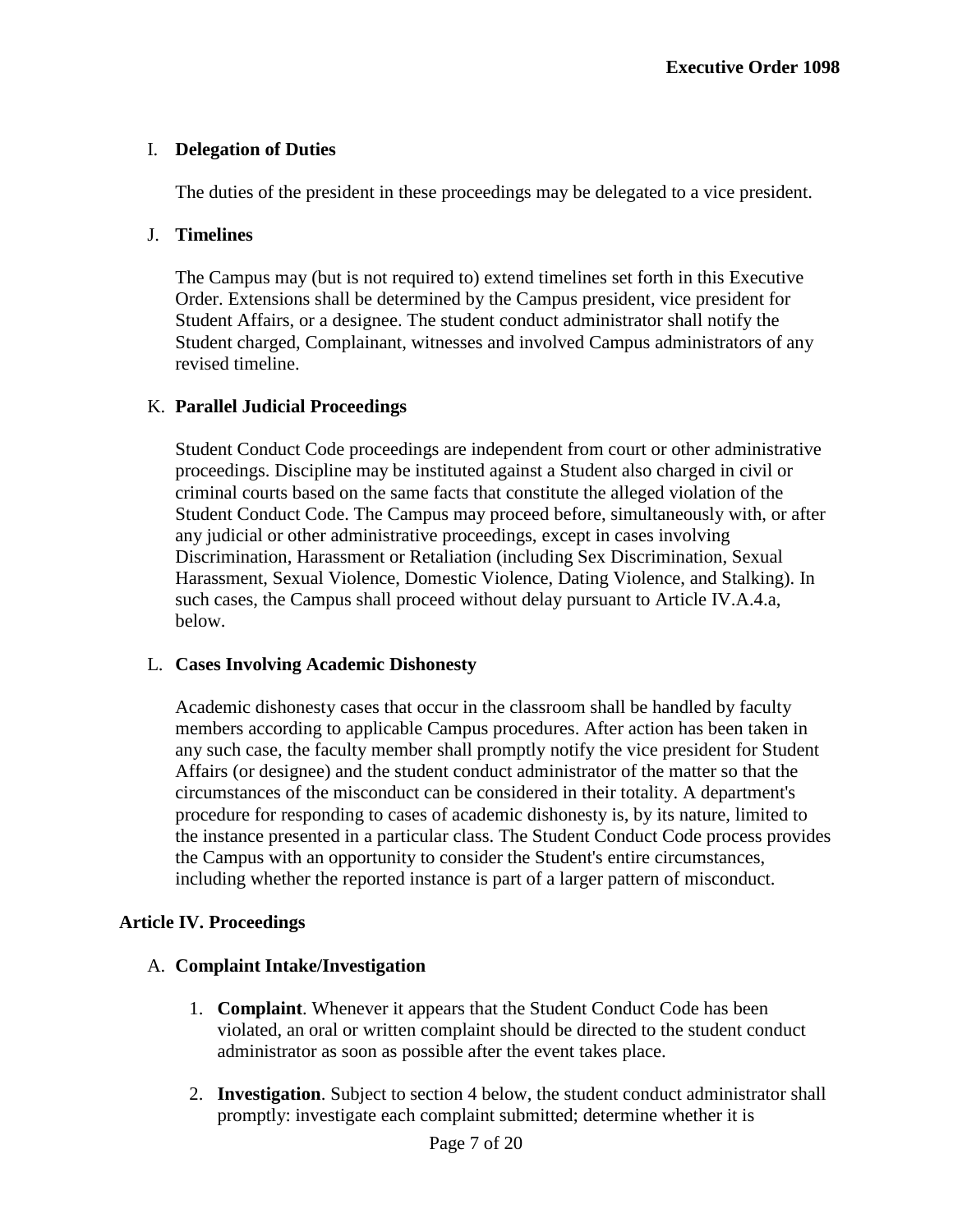# I. **Delegation of Duties**

The duties of the president in these proceedings may be delegated to a vice president.

# J. **Timelines**

The Campus may (but is not required to) extend timelines set forth in this Executive Order. Extensions shall be determined by the Campus president, vice president for Student Affairs, or a designee. The student conduct administrator shall notify the Student charged, Complainant, witnesses and involved Campus administrators of any revised timeline.

# K. **Parallel Judicial Proceedings**

Student Conduct Code proceedings are independent from court or other administrative proceedings. Discipline may be instituted against a Student also charged in civil or criminal courts based on the same facts that constitute the alleged violation of the Student Conduct Code. The Campus may proceed before, simultaneously with, or after any judicial or other administrative proceedings, except in cases involving Discrimination, Harassment or Retaliation (including Sex Discrimination, Sexual Harassment, Sexual Violence, Domestic Violence, Dating Violence, and Stalking). In such cases, the Campus shall proceed without delay pursuant to Article IV.A.4.a, below.

## L. **Cases Involving Academic Dishonesty**

Academic dishonesty cases that occur in the classroom shall be handled by faculty members according to applicable Campus procedures. After action has been taken in any such case, the faculty member shall promptly notify the vice president for Student Affairs (or designee) and the student conduct administrator of the matter so that the circumstances of the misconduct can be considered in their totality. A department's procedure for responding to cases of academic dishonesty is, by its nature, limited to the instance presented in a particular class. The Student Conduct Code process provides the Campus with an opportunity to consider the Student's entire circumstances, including whether the reported instance is part of a larger pattern of misconduct.

## **Article IV. Proceedings**

## A. **Complaint Intake/Investigation**

- 1. **Complaint**. Whenever it appears that the Student Conduct Code has been violated, an oral or written complaint should be directed to the student conduct administrator as soon as possible after the event takes place.
- 2. **Investigation**. Subject to section 4 below, the student conduct administrator shall promptly: investigate each complaint submitted; determine whether it is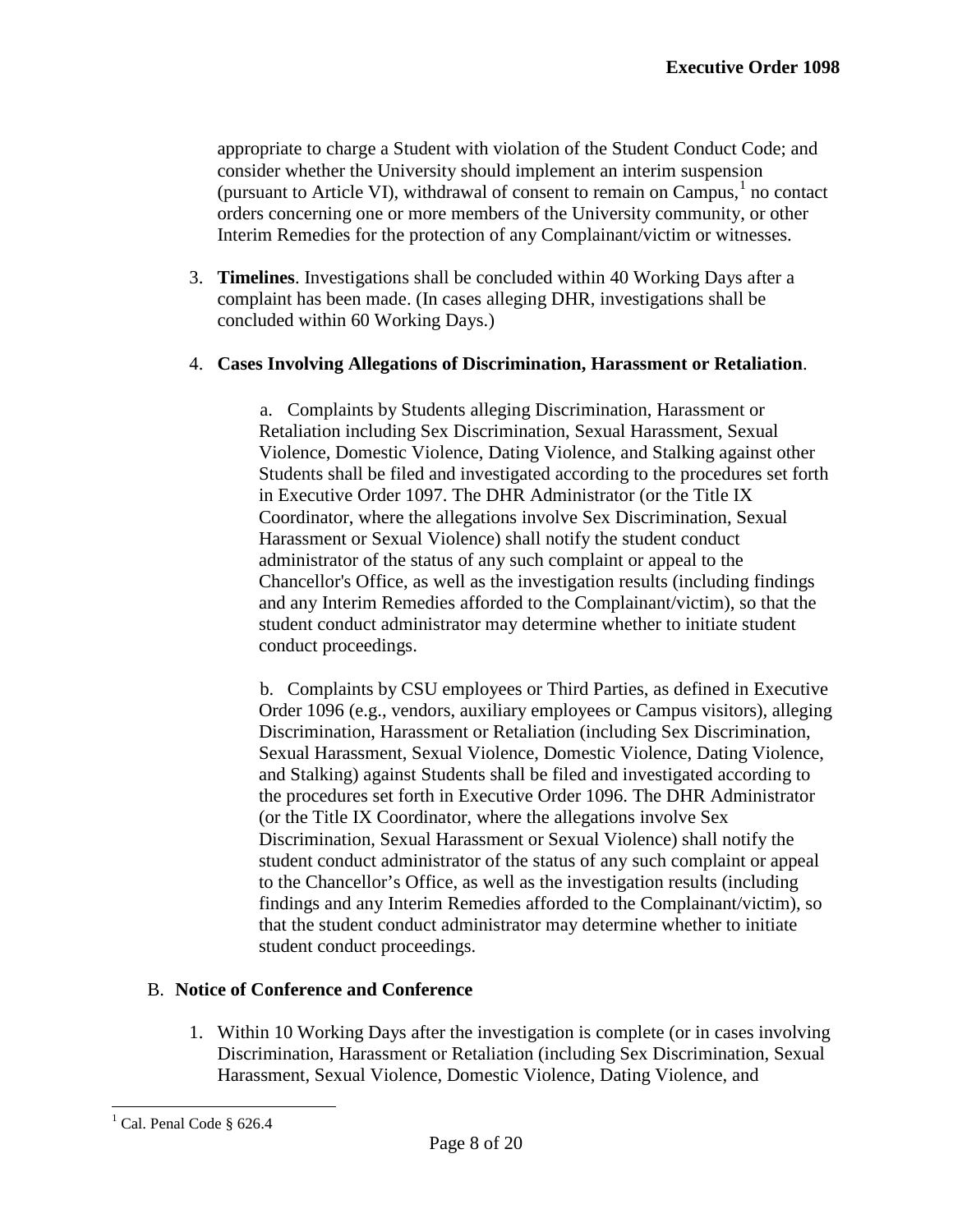appropriate to charge a Student with violation of the Student Conduct Code; and consider whether the University should implement an interim suspension (pursuant to Article VI), withdrawal of consent to remain on  $Campus<sup>1</sup>$  $Campus<sup>1</sup>$  $Campus<sup>1</sup>$  no contact orders concerning one or more members of the University community, or other Interim Remedies for the protection of any Complainant/victim or witnesses.

3. **Timelines**. Investigations shall be concluded within 40 Working Days after a complaint has been made. (In cases alleging DHR, investigations shall be concluded within 60 Working Days.)

#### 4. **Cases Involving Allegations of Discrimination, Harassment or Retaliation**.

a. Complaints by Students alleging Discrimination, Harassment or Retaliation including Sex Discrimination, Sexual Harassment, Sexual Violence, Domestic Violence, Dating Violence, and Stalking against other Students shall be filed and investigated according to the procedures set forth in Executive Order 1097. The DHR Administrator (or the Title IX Coordinator, where the allegations involve Sex Discrimination, Sexual Harassment or Sexual Violence) shall notify the student conduct administrator of the status of any such complaint or appeal to the Chancellor's Office, as well as the investigation results (including findings and any Interim Remedies afforded to the Complainant/victim), so that the student conduct administrator may determine whether to initiate student conduct proceedings.

b. Complaints by CSU employees or Third Parties, as defined in Executive Order 1096 (e.g., vendors, auxiliary employees or Campus visitors), alleging Discrimination, Harassment or Retaliation (including Sex Discrimination, Sexual Harassment, Sexual Violence, Domestic Violence, Dating Violence, and Stalking) against Students shall be filed and investigated according to the procedures set forth in Executive Order 1096. The DHR Administrator (or the Title IX Coordinator, where the allegations involve Sex Discrimination, Sexual Harassment or Sexual Violence) shall notify the student conduct administrator of the status of any such complaint or appeal to the Chancellor's Office, as well as the investigation results (including findings and any Interim Remedies afforded to the Complainant/victim), so that the student conduct administrator may determine whether to initiate student conduct proceedings.

#### B. **Notice of Conference and Conference**

1. Within 10 Working Days after the investigation is complete (or in cases involving Discrimination, Harassment or Retaliation (including Sex Discrimination, Sexual Harassment, Sexual Violence, Domestic Violence, Dating Violence, and

<span id="page-8-0"></span> $<sup>1</sup>$  Cal. Penal Code § 626.4</sup>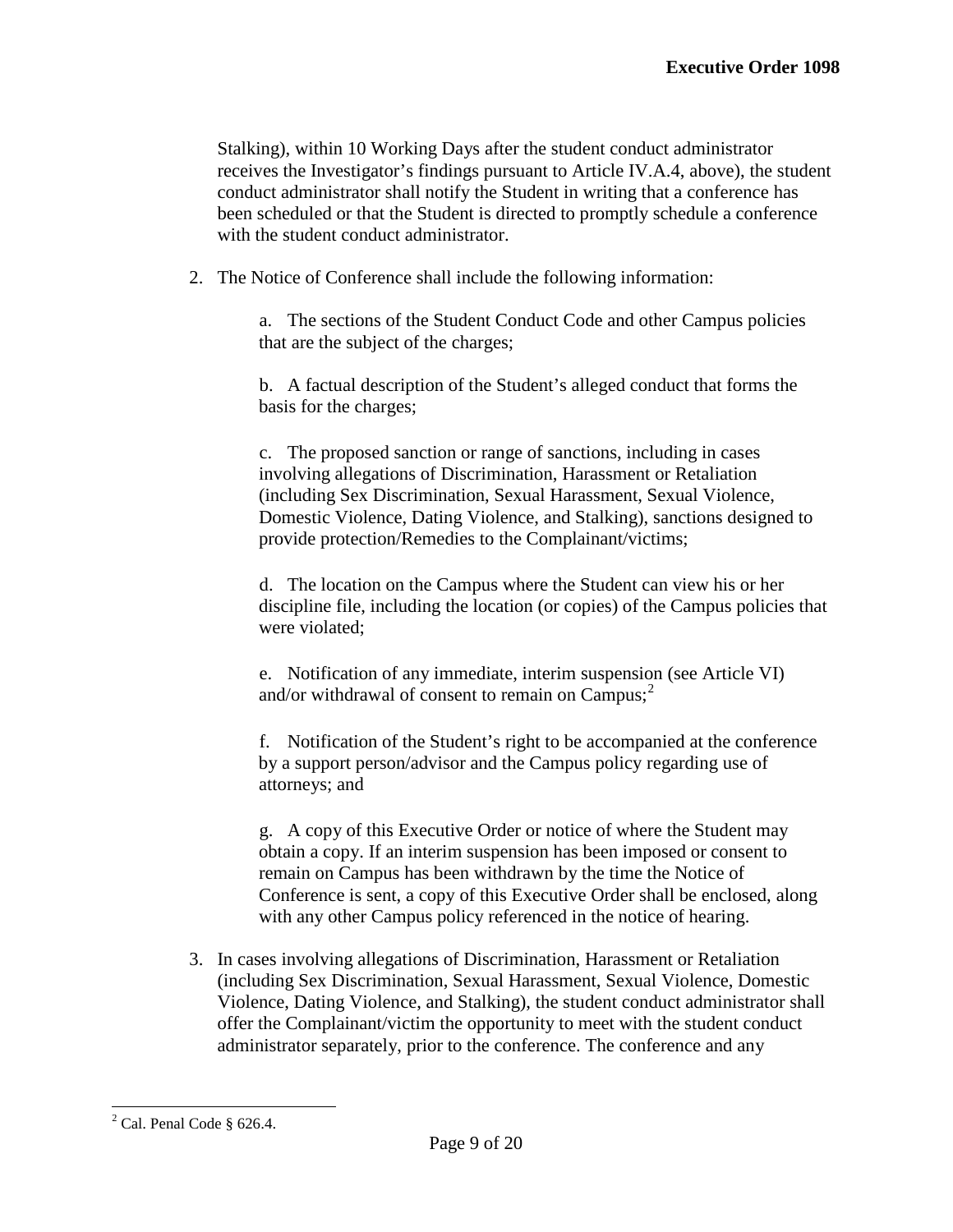Stalking), within 10 Working Days after the student conduct administrator receives the Investigator's findings pursuant to Article IV.A.4, above), the student conduct administrator shall notify the Student in writing that a conference has been scheduled or that the Student is directed to promptly schedule a conference with the student conduct administrator.

2. The Notice of Conference shall include the following information:

a. The sections of the Student Conduct Code and other Campus policies that are the subject of the charges;

b. A factual description of the Student's alleged conduct that forms the basis for the charges;

c. The proposed sanction or range of sanctions, including in cases involving allegations of Discrimination, Harassment or Retaliation (including Sex Discrimination, Sexual Harassment, Sexual Violence, Domestic Violence, Dating Violence, and Stalking), sanctions designed to provide protection/Remedies to the Complainant/victims;

d. The location on the Campus where the Student can view his or her discipline file, including the location (or copies) of the Campus policies that were violated;

e. Notification of any immediate, interim suspension (see Article VI) and/or withdrawal of consent to remain on  $Campus<sup>2</sup>$  $Campus<sup>2</sup>$  $Campus<sup>2</sup>$ 

f. Notification of the Student's right to be accompanied at the conference by a support person/advisor and the Campus policy regarding use of attorneys; and

g. A copy of this Executive Order or notice of where the Student may obtain a copy. If an interim suspension has been imposed or consent to remain on Campus has been withdrawn by the time the Notice of Conference is sent, a copy of this Executive Order shall be enclosed, along with any other Campus policy referenced in the notice of hearing.

3. In cases involving allegations of Discrimination, Harassment or Retaliation (including Sex Discrimination, Sexual Harassment, Sexual Violence, Domestic Violence, Dating Violence, and Stalking), the student conduct administrator shall offer the Complainant/victim the opportunity to meet with the student conduct administrator separately, prior to the conference. The conference and any

<span id="page-9-0"></span> $2$  Cal. Penal Code § 626.4.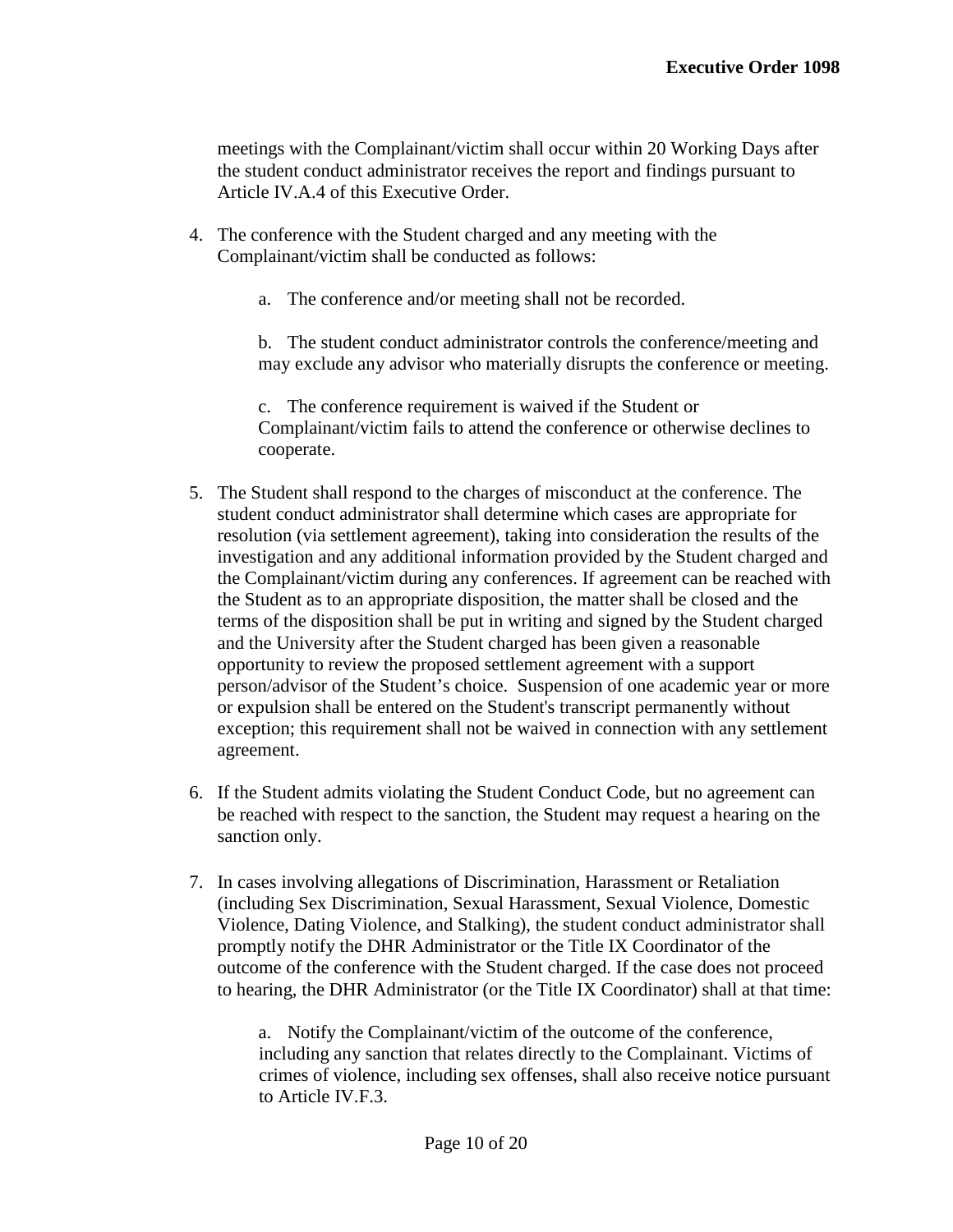meetings with the Complainant/victim shall occur within 20 Working Days after the student conduct administrator receives the report and findings pursuant to Article IV.A.4 of this Executive Order.

- 4. The conference with the Student charged and any meeting with the Complainant/victim shall be conducted as follows:
	- a. The conference and/or meeting shall not be recorded.

b. The student conduct administrator controls the conference/meeting and may exclude any advisor who materially disrupts the conference or meeting.

c. The conference requirement is waived if the Student or Complainant/victim fails to attend the conference or otherwise declines to cooperate.

- 5. The Student shall respond to the charges of misconduct at the conference. The student conduct administrator shall determine which cases are appropriate for resolution (via settlement agreement), taking into consideration the results of the investigation and any additional information provided by the Student charged and the Complainant/victim during any conferences. If agreement can be reached with the Student as to an appropriate disposition, the matter shall be closed and the terms of the disposition shall be put in writing and signed by the Student charged and the University after the Student charged has been given a reasonable opportunity to review the proposed settlement agreement with a support person/advisor of the Student's choice. Suspension of one academic year or more or expulsion shall be entered on the Student's transcript permanently without exception; this requirement shall not be waived in connection with any settlement agreement.
- 6. If the Student admits violating the Student Conduct Code, but no agreement can be reached with respect to the sanction, the Student may request a hearing on the sanction only.
- 7. In cases involving allegations of Discrimination, Harassment or Retaliation (including Sex Discrimination, Sexual Harassment, Sexual Violence, Domestic Violence, Dating Violence, and Stalking), the student conduct administrator shall promptly notify the DHR Administrator or the Title IX Coordinator of the outcome of the conference with the Student charged. If the case does not proceed to hearing, the DHR Administrator (or the Title IX Coordinator) shall at that time:

a. Notify the Complainant/victim of the outcome of the conference, including any sanction that relates directly to the Complainant. Victims of crimes of violence, including sex offenses, shall also receive notice pursuant to Article IV.F.3.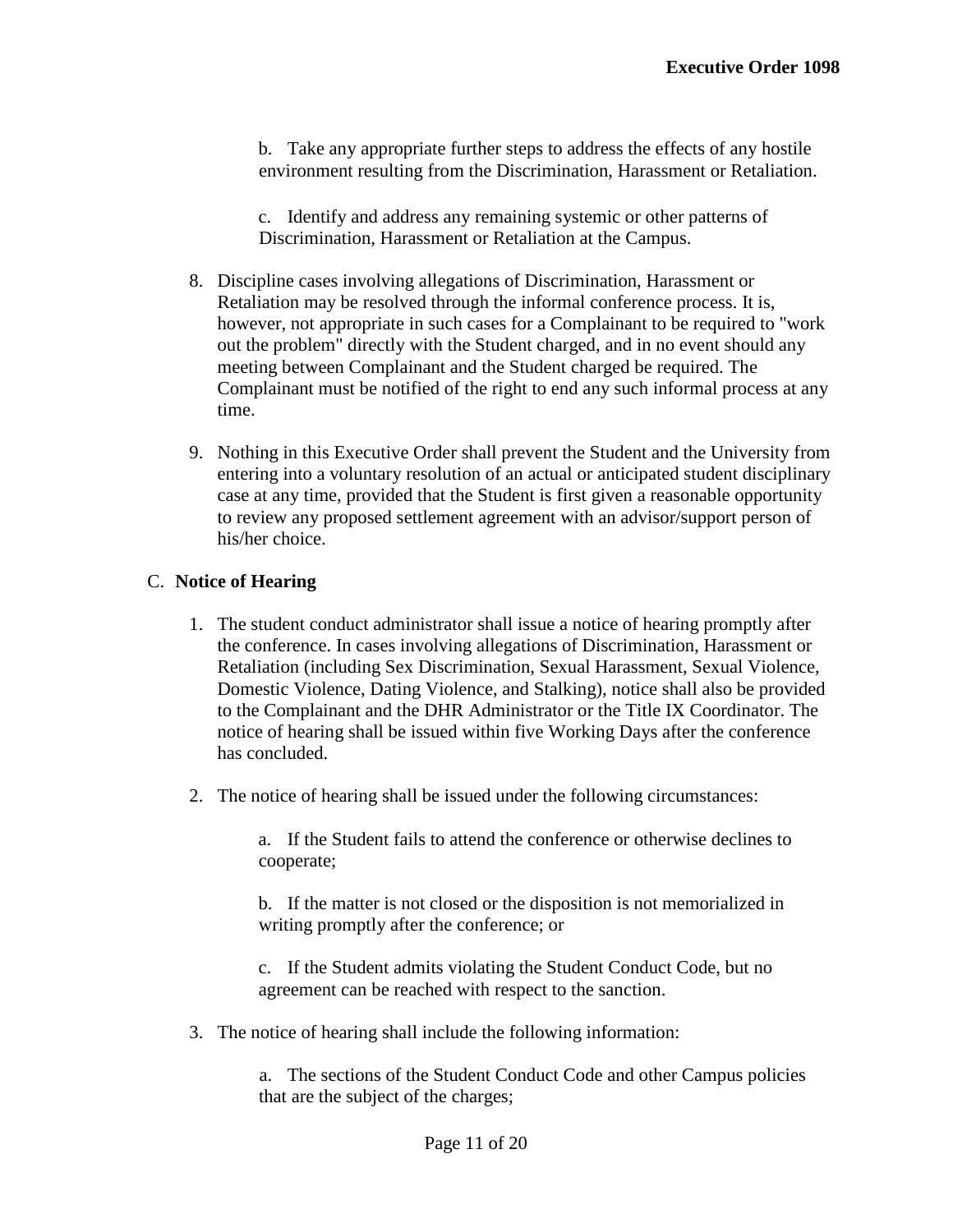b. Take any appropriate further steps to address the effects of any hostile environment resulting from the Discrimination, Harassment or Retaliation.

c. Identify and address any remaining systemic or other patterns of Discrimination, Harassment or Retaliation at the Campus.

- 8. Discipline cases involving allegations of Discrimination, Harassment or Retaliation may be resolved through the informal conference process. It is, however, not appropriate in such cases for a Complainant to be required to "work out the problem" directly with the Student charged, and in no event should any meeting between Complainant and the Student charged be required. The Complainant must be notified of the right to end any such informal process at any time.
- 9. Nothing in this Executive Order shall prevent the Student and the University from entering into a voluntary resolution of an actual or anticipated student disciplinary case at any time, provided that the Student is first given a reasonable opportunity to review any proposed settlement agreement with an advisor/support person of his/her choice.

## C. **Notice of Hearing**

- 1. The student conduct administrator shall issue a notice of hearing promptly after the conference. In cases involving allegations of Discrimination, Harassment or Retaliation (including Sex Discrimination, Sexual Harassment, Sexual Violence, Domestic Violence, Dating Violence, and Stalking), notice shall also be provided to the Complainant and the DHR Administrator or the Title IX Coordinator. The notice of hearing shall be issued within five Working Days after the conference has concluded.
- 2. The notice of hearing shall be issued under the following circumstances:

a. If the Student fails to attend the conference or otherwise declines to cooperate;

b. If the matter is not closed or the disposition is not memorialized in writing promptly after the conference; or

c. If the Student admits violating the Student Conduct Code, but no agreement can be reached with respect to the sanction.

3. The notice of hearing shall include the following information:

a. The sections of the Student Conduct Code and other Campus policies that are the subject of the charges;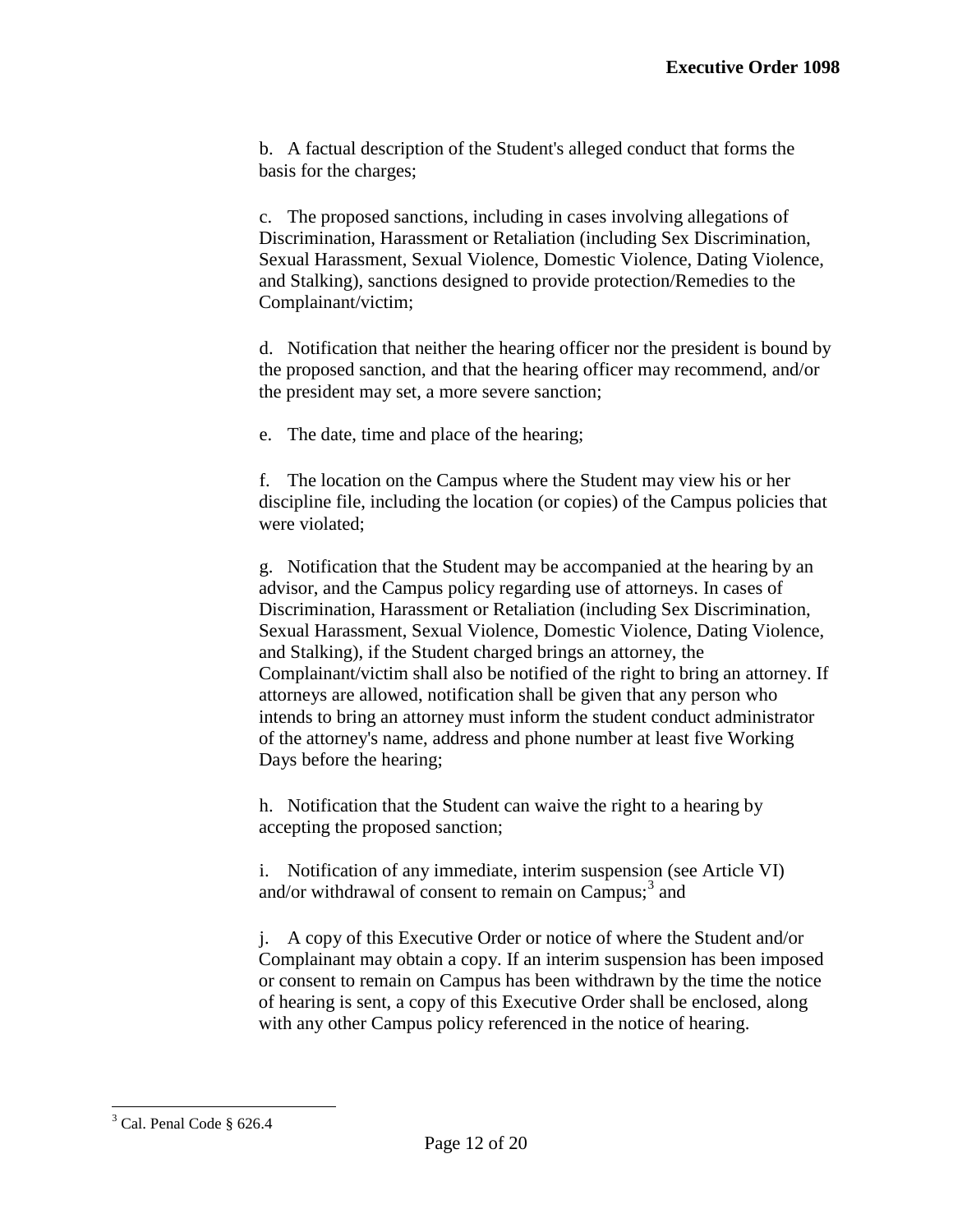b. A factual description of the Student's alleged conduct that forms the basis for the charges;

c. The proposed sanctions, including in cases involving allegations of Discrimination, Harassment or Retaliation (including Sex Discrimination, Sexual Harassment, Sexual Violence, Domestic Violence, Dating Violence, and Stalking), sanctions designed to provide protection/Remedies to the Complainant/victim;

d. Notification that neither the hearing officer nor the president is bound by the proposed sanction, and that the hearing officer may recommend, and/or the president may set, a more severe sanction;

e. The date, time and place of the hearing;

f. The location on the Campus where the Student may view his or her discipline file, including the location (or copies) of the Campus policies that were violated;

g. Notification that the Student may be accompanied at the hearing by an advisor, and the Campus policy regarding use of attorneys. In cases of Discrimination, Harassment or Retaliation (including Sex Discrimination, Sexual Harassment, Sexual Violence, Domestic Violence, Dating Violence, and Stalking), if the Student charged brings an attorney, the Complainant/victim shall also be notified of the right to bring an attorney. If attorneys are allowed, notification shall be given that any person who intends to bring an attorney must inform the student conduct administrator of the attorney's name, address and phone number at least five Working Days before the hearing;

h. Notification that the Student can waive the right to a hearing by accepting the proposed sanction;

i. Notification of any immediate, interim suspension (see Article VI) and/or withdrawal of consent to remain on Campus; $3$  and

j. A copy of this Executive Order or notice of where the Student and/or Complainant may obtain a copy. If an interim suspension has been imposed or consent to remain on Campus has been withdrawn by the time the notice of hearing is sent, a copy of this Executive Order shall be enclosed, along with any other Campus policy referenced in the notice of hearing.

<span id="page-12-0"></span><sup>3</sup> Cal. Penal Code § 626.4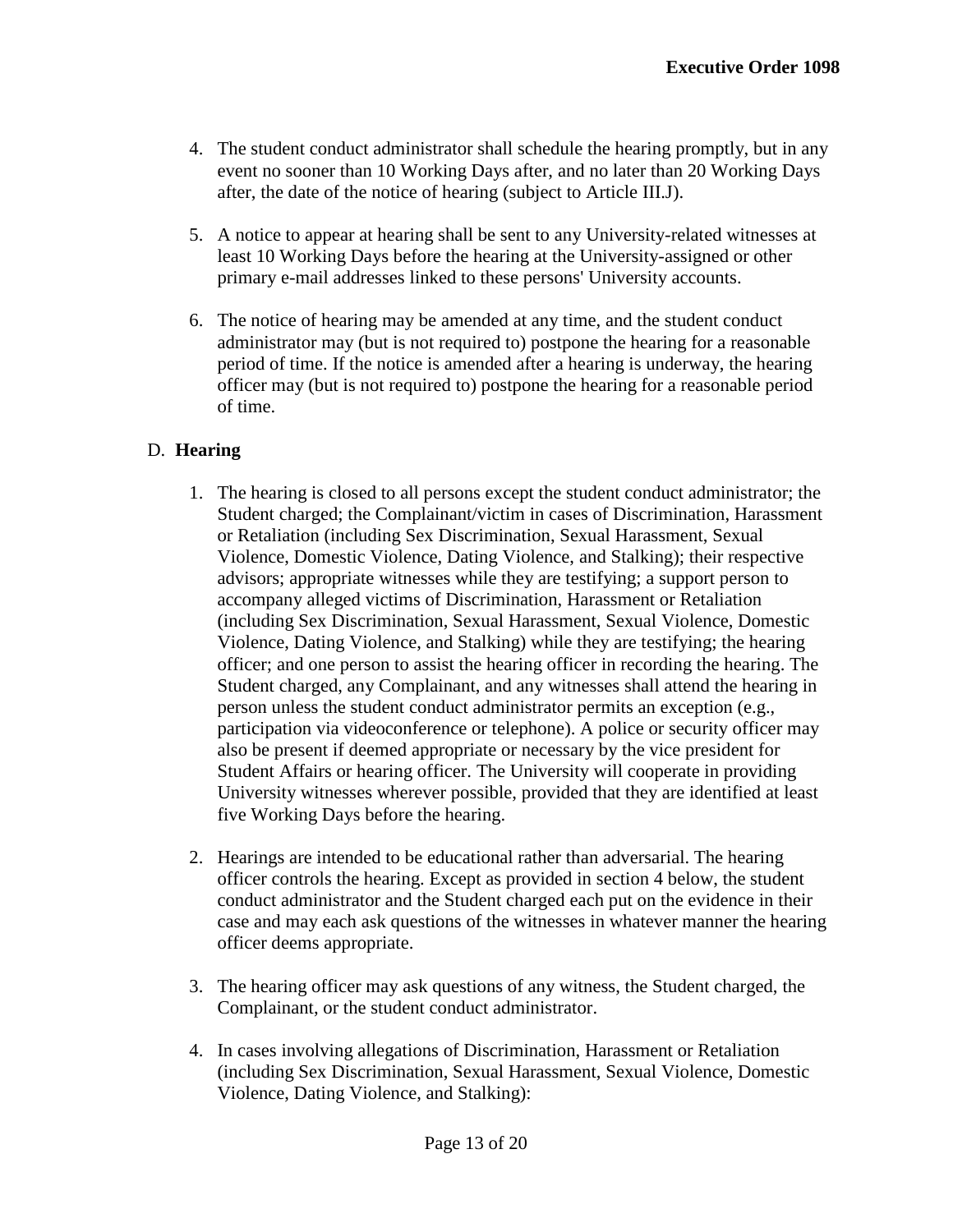- 4. The student conduct administrator shall schedule the hearing promptly, but in any event no sooner than 10 Working Days after, and no later than 20 Working Days after, the date of the notice of hearing (subject to Article III.J).
- 5. A notice to appear at hearing shall be sent to any University-related witnesses at least 10 Working Days before the hearing at the University-assigned or other primary e-mail addresses linked to these persons' University accounts.
- 6. The notice of hearing may be amended at any time, and the student conduct administrator may (but is not required to) postpone the hearing for a reasonable period of time. If the notice is amended after a hearing is underway, the hearing officer may (but is not required to) postpone the hearing for a reasonable period of time.

# D. **Hearing**

- 1. The hearing is closed to all persons except the student conduct administrator; the Student charged; the Complainant/victim in cases of Discrimination, Harassment or Retaliation (including Sex Discrimination, Sexual Harassment, Sexual Violence, Domestic Violence, Dating Violence, and Stalking); their respective advisors; appropriate witnesses while they are testifying; a support person to accompany alleged victims of Discrimination, Harassment or Retaliation (including Sex Discrimination, Sexual Harassment, Sexual Violence, Domestic Violence, Dating Violence, and Stalking) while they are testifying; the hearing officer; and one person to assist the hearing officer in recording the hearing. The Student charged, any Complainant, and any witnesses shall attend the hearing in person unless the student conduct administrator permits an exception (e.g., participation via videoconference or telephone). A police or security officer may also be present if deemed appropriate or necessary by the vice president for Student Affairs or hearing officer. The University will cooperate in providing University witnesses wherever possible, provided that they are identified at least five Working Days before the hearing.
- 2. Hearings are intended to be educational rather than adversarial. The hearing officer controls the hearing. Except as provided in section 4 below, the student conduct administrator and the Student charged each put on the evidence in their case and may each ask questions of the witnesses in whatever manner the hearing officer deems appropriate.
- 3. The hearing officer may ask questions of any witness, the Student charged, the Complainant, or the student conduct administrator.
- 4. In cases involving allegations of Discrimination, Harassment or Retaliation (including Sex Discrimination, Sexual Harassment, Sexual Violence, Domestic Violence, Dating Violence, and Stalking):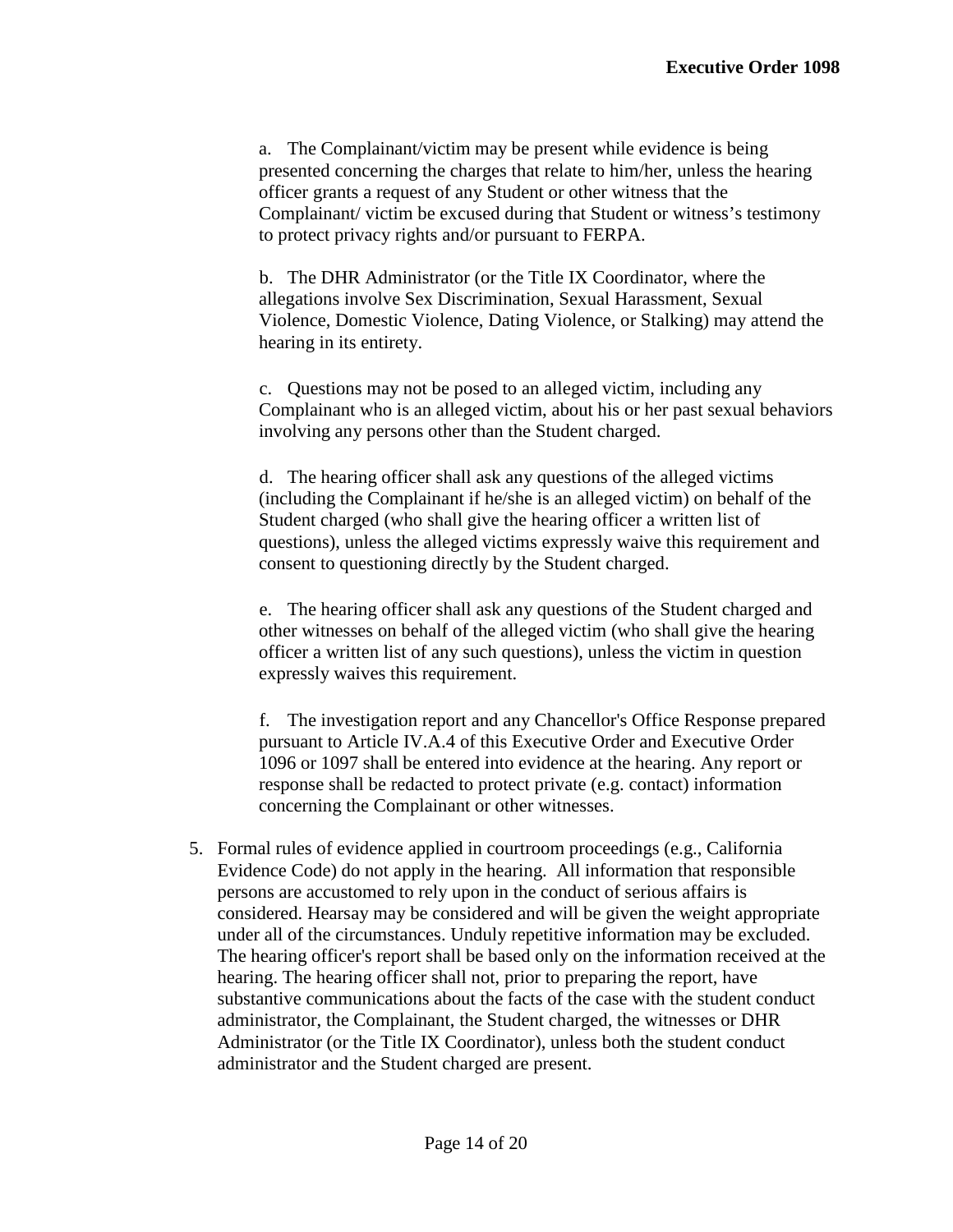a. The Complainant/victim may be present while evidence is being presented concerning the charges that relate to him/her, unless the hearing officer grants a request of any Student or other witness that the Complainant/ victim be excused during that Student or witness's testimony to protect privacy rights and/or pursuant to FERPA.

b. The DHR Administrator (or the Title IX Coordinator, where the allegations involve Sex Discrimination, Sexual Harassment, Sexual Violence, Domestic Violence, Dating Violence, or Stalking) may attend the hearing in its entirety.

c. Questions may not be posed to an alleged victim, including any Complainant who is an alleged victim, about his or her past sexual behaviors involving any persons other than the Student charged.

d. The hearing officer shall ask any questions of the alleged victims (including the Complainant if he/she is an alleged victim) on behalf of the Student charged (who shall give the hearing officer a written list of questions), unless the alleged victims expressly waive this requirement and consent to questioning directly by the Student charged.

e. The hearing officer shall ask any questions of the Student charged and other witnesses on behalf of the alleged victim (who shall give the hearing officer a written list of any such questions), unless the victim in question expressly waives this requirement.

f. The investigation report and any Chancellor's Office Response prepared pursuant to Article IV.A.4 of this Executive Order and Executive Order 1096 or 1097 shall be entered into evidence at the hearing. Any report or response shall be redacted to protect private (e.g. contact) information concerning the Complainant or other witnesses.

5. Formal rules of evidence applied in courtroom proceedings (e.g., California Evidence Code) do not apply in the hearing. All information that responsible persons are accustomed to rely upon in the conduct of serious affairs is considered. Hearsay may be considered and will be given the weight appropriate under all of the circumstances. Unduly repetitive information may be excluded. The hearing officer's report shall be based only on the information received at the hearing. The hearing officer shall not, prior to preparing the report, have substantive communications about the facts of the case with the student conduct administrator, the Complainant, the Student charged, the witnesses or DHR Administrator (or the Title IX Coordinator), unless both the student conduct administrator and the Student charged are present.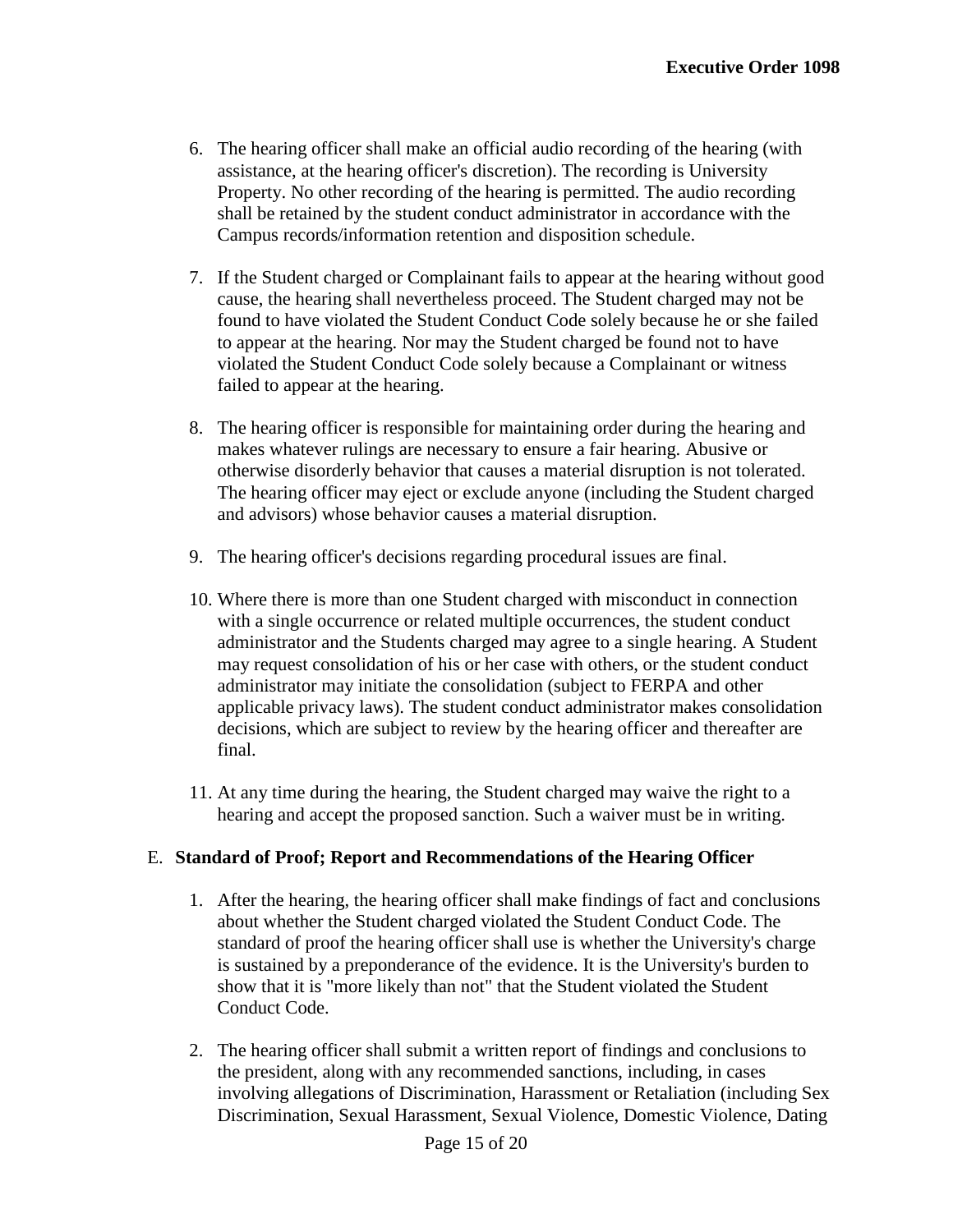- 6. The hearing officer shall make an official audio recording of the hearing (with assistance, at the hearing officer's discretion). The recording is University Property. No other recording of the hearing is permitted. The audio recording shall be retained by the student conduct administrator in accordance with the Campus records/information retention and disposition schedule.
- 7. If the Student charged or Complainant fails to appear at the hearing without good cause, the hearing shall nevertheless proceed. The Student charged may not be found to have violated the Student Conduct Code solely because he or she failed to appear at the hearing. Nor may the Student charged be found not to have violated the Student Conduct Code solely because a Complainant or witness failed to appear at the hearing.
- 8. The hearing officer is responsible for maintaining order during the hearing and makes whatever rulings are necessary to ensure a fair hearing. Abusive or otherwise disorderly behavior that causes a material disruption is not tolerated. The hearing officer may eject or exclude anyone (including the Student charged and advisors) whose behavior causes a material disruption.
- 9. The hearing officer's decisions regarding procedural issues are final.
- 10. Where there is more than one Student charged with misconduct in connection with a single occurrence or related multiple occurrences, the student conduct administrator and the Students charged may agree to a single hearing. A Student may request consolidation of his or her case with others, or the student conduct administrator may initiate the consolidation (subject to FERPA and other applicable privacy laws). The student conduct administrator makes consolidation decisions, which are subject to review by the hearing officer and thereafter are final.
- 11. At any time during the hearing, the Student charged may waive the right to a hearing and accept the proposed sanction. Such a waiver must be in writing.

#### E. **Standard of Proof; Report and Recommendations of the Hearing Officer**

- 1. After the hearing, the hearing officer shall make findings of fact and conclusions about whether the Student charged violated the Student Conduct Code. The standard of proof the hearing officer shall use is whether the University's charge is sustained by a preponderance of the evidence. It is the University's burden to show that it is "more likely than not" that the Student violated the Student Conduct Code.
- 2. The hearing officer shall submit a written report of findings and conclusions to the president, along with any recommended sanctions, including, in cases involving allegations of Discrimination, Harassment or Retaliation (including Sex Discrimination, Sexual Harassment, Sexual Violence, Domestic Violence, Dating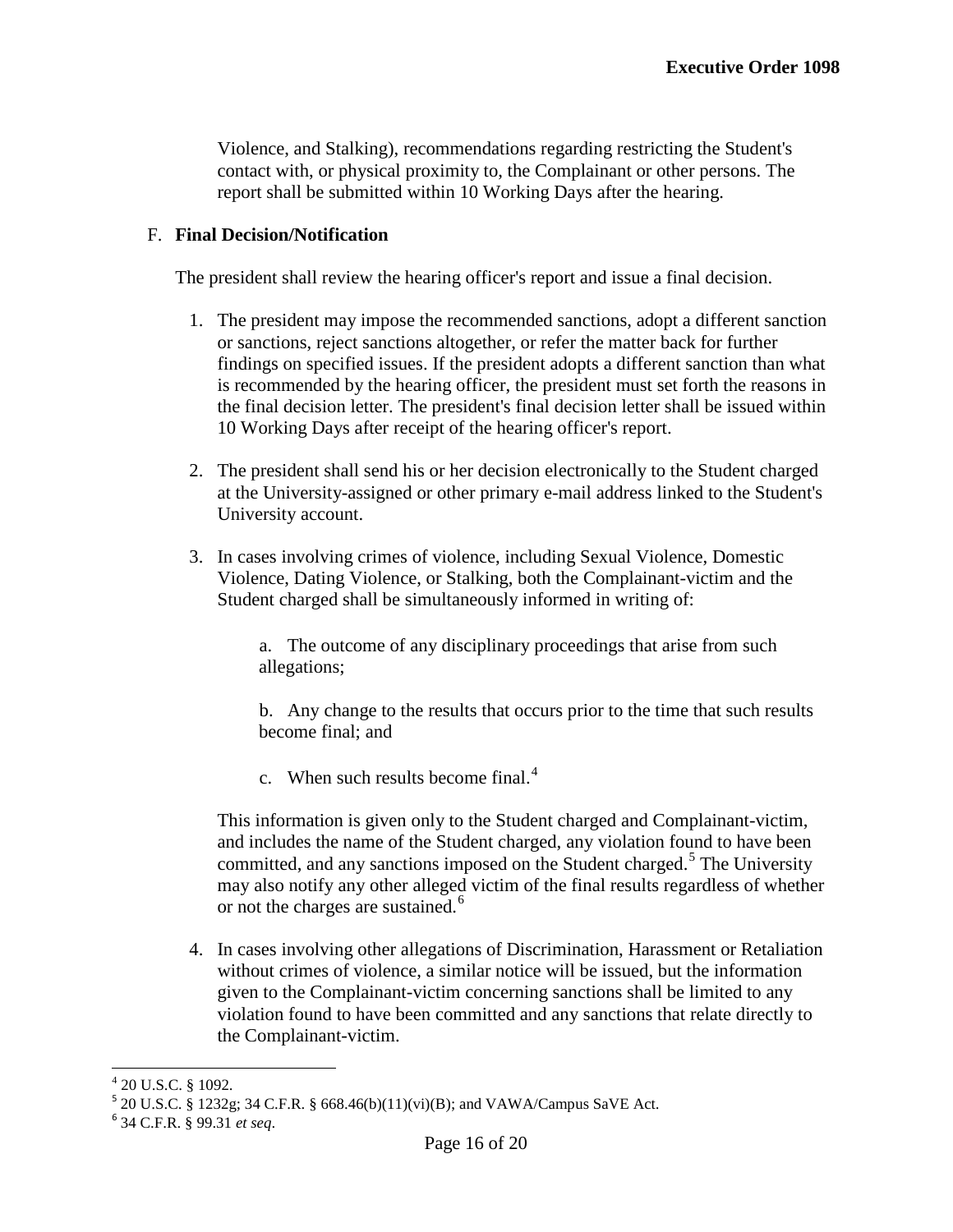Violence, and Stalking), recommendations regarding restricting the Student's contact with, or physical proximity to, the Complainant or other persons. The report shall be submitted within 10 Working Days after the hearing.

#### F. **Final Decision/Notification**

The president shall review the hearing officer's report and issue a final decision.

- 1. The president may impose the recommended sanctions, adopt a different sanction or sanctions, reject sanctions altogether, or refer the matter back for further findings on specified issues. If the president adopts a different sanction than what is recommended by the hearing officer, the president must set forth the reasons in the final decision letter. The president's final decision letter shall be issued within 10 Working Days after receipt of the hearing officer's report.
- 2. The president shall send his or her decision electronically to the Student charged at the University-assigned or other primary e-mail address linked to the Student's University account.
- 3. In cases involving crimes of violence, including Sexual Violence, Domestic Violence, Dating Violence, or Stalking, both the Complainant-victim and the Student charged shall be simultaneously informed in writing of:

a. The outcome of any disciplinary proceedings that arise from such allegations;

b. Any change to the results that occurs prior to the time that such results become final; and

c. When such results become final.<sup>[4](#page-12-0)</sup>

This information is given only to the Student charged and Complainant-victim, and includes the name of the Student charged, any violation found to have been committed, and any sanctions imposed on the Student charged.<sup>[5](#page-16-0)</sup> The University may also notify any other alleged victim of the final results regardless of whether or not the charges are sustained.<sup>[6](#page-16-1)</sup>

4. In cases involving other allegations of Discrimination, Harassment or Retaliation without crimes of violence, a similar notice will be issued, but the information given to the Complainant-victim concerning sanctions shall be limited to any violation found to have been committed and any sanctions that relate directly to the Complainant-victim.

<span id="page-16-2"></span><span id="page-16-0"></span><sup>4 20</sup> U.S.C. § 1092.<br><sup>5</sup> 20 U.S.C. § 1232g; 34 C.F.R. § 668.46(b)(11)(vi)(B); and VAWA/Campus SaVE Act. <sup>6</sup> 34 C.F.R. § 99.31 *et seq*.

<span id="page-16-1"></span>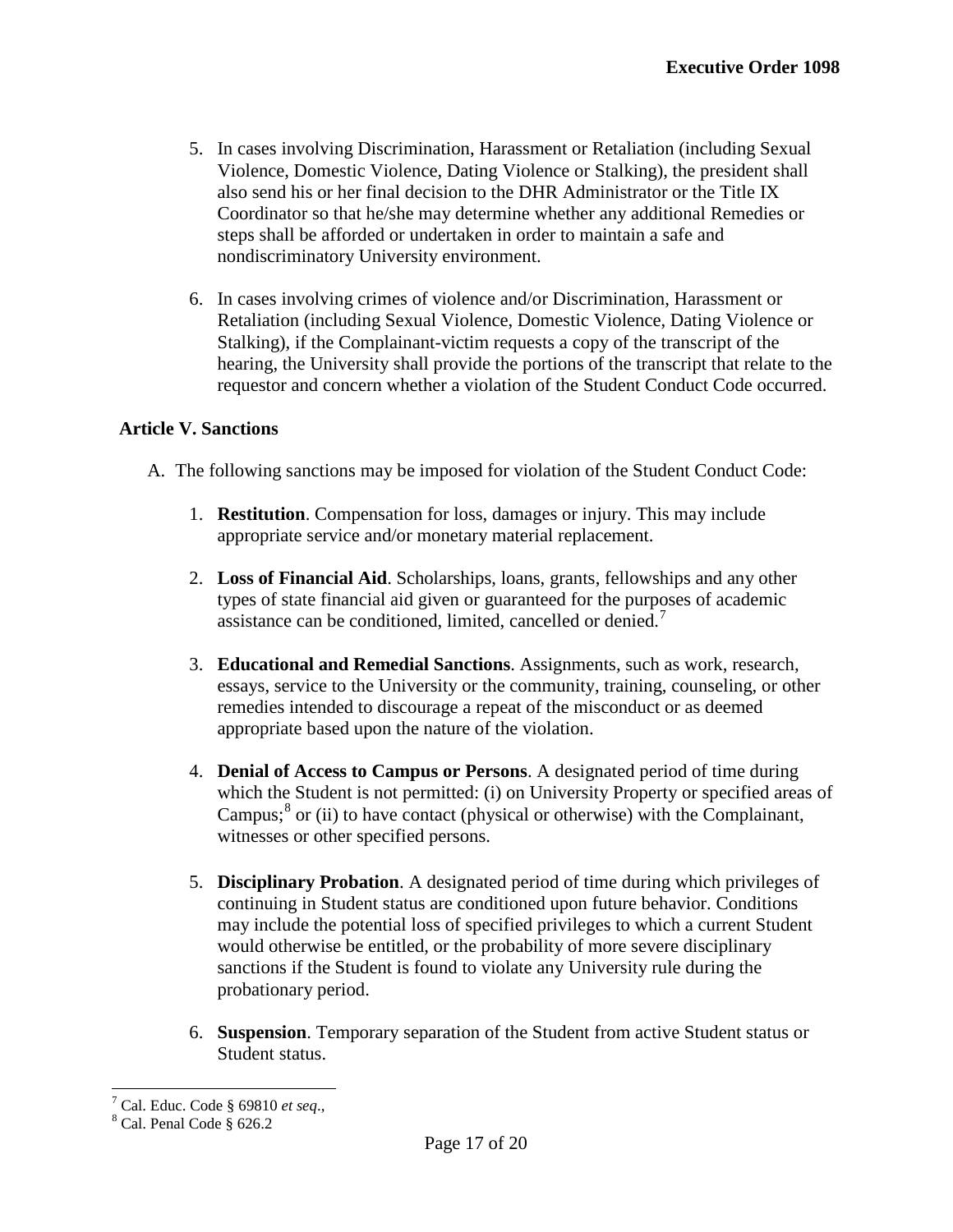- 5. In cases involving Discrimination, Harassment or Retaliation (including Sexual Violence, Domestic Violence, Dating Violence or Stalking), the president shall also send his or her final decision to the DHR Administrator or the Title IX Coordinator so that he/she may determine whether any additional Remedies or steps shall be afforded or undertaken in order to maintain a safe and nondiscriminatory University environment.
- 6. In cases involving crimes of violence and/or Discrimination, Harassment or Retaliation (including Sexual Violence, Domestic Violence, Dating Violence or Stalking), if the Complainant-victim requests a copy of the transcript of the hearing, the University shall provide the portions of the transcript that relate to the requestor and concern whether a violation of the Student Conduct Code occurred.

# **Article V. Sanctions**

- A. The following sanctions may be imposed for violation of the Student Conduct Code:
	- 1. **Restitution**. Compensation for loss, damages or injury. This may include appropriate service and/or monetary material replacement.
	- 2. **Loss of Financial Aid**. Scholarships, loans, grants, fellowships and any other types of state financial aid given or guaranteed for the purposes of academic assistance can be conditioned, limited, cancelled or denied.[7](#page-16-2)
	- 3. **Educational and Remedial Sanctions**. Assignments, such as work, research, essays, service to the University or the community, training, counseling, or other remedies intended to discourage a repeat of the misconduct or as deemed appropriate based upon the nature of the violation.
	- 4. **Denial of Access to Campus or Persons**. A designated period of time during which the Student is not permitted: (i) on University Property or specified areas of Campus; $<sup>8</sup>$  $<sup>8</sup>$  $<sup>8</sup>$  or (ii) to have contact (physical or otherwise) with the Complainant,</sup> witnesses or other specified persons.
	- 5. **Disciplinary Probation**. A designated period of time during which privileges of continuing in Student status are conditioned upon future behavior. Conditions may include the potential loss of specified privileges to which a current Student would otherwise be entitled, or the probability of more severe disciplinary sanctions if the Student is found to violate any University rule during the probationary period.
	- 6. **Suspension**. Temporary separation of the Student from active Student status or Student status.

<sup>&</sup>lt;sup>7</sup> Cal. Educ. Code § 69810 *et seq.*, <sup>8</sup> Cal. Penal Code § 626.2

<span id="page-17-0"></span>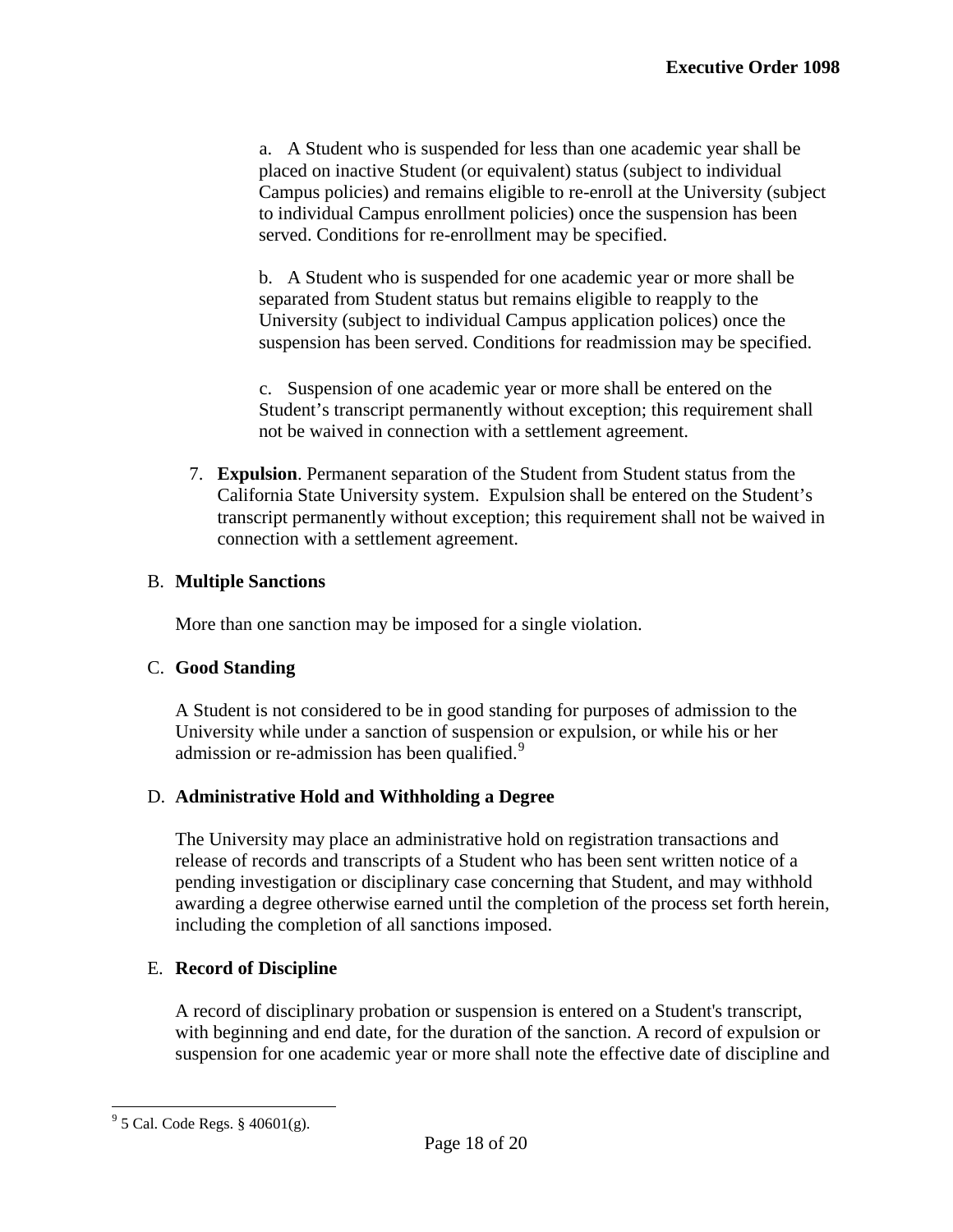a. A Student who is suspended for less than one academic year shall be placed on inactive Student (or equivalent) status (subject to individual Campus policies) and remains eligible to re-enroll at the University (subject to individual Campus enrollment policies) once the suspension has been served. Conditions for re-enrollment may be specified.

b. A Student who is suspended for one academic year or more shall be separated from Student status but remains eligible to reapply to the University (subject to individual Campus application polices) once the suspension has been served. Conditions for readmission may be specified.

c. Suspension of one academic year or more shall be entered on the Student's transcript permanently without exception; this requirement shall not be waived in connection with a settlement agreement.

7. **Expulsion**. Permanent separation of the Student from Student status from the California State University system. Expulsion shall be entered on the Student's transcript permanently without exception; this requirement shall not be waived in connection with a settlement agreement.

## B. **Multiple Sanctions**

More than one sanction may be imposed for a single violation.

## C. **Good Standing**

A Student is not considered to be in good standing for purposes of admission to the University while under a sanction of suspension or expulsion, or while his or her admission or re-admission has been qualified.<sup>[9](#page-17-0)</sup>

# D. **Administrative Hold and Withholding a Degree**

The University may place an administrative hold on registration transactions and release of records and transcripts of a Student who has been sent written notice of a pending investigation or disciplinary case concerning that Student, and may withhold awarding a degree otherwise earned until the completion of the process set forth herein, including the completion of all sanctions imposed.

# E. **Record of Discipline**

A record of disciplinary probation or suspension is entered on a Student's transcript, with beginning and end date, for the duration of the sanction. A record of expulsion or suspension for one academic year or more shall note the effective date of discipline and

<span id="page-18-0"></span> $9^9$  5 Cal. Code Regs. § 40601(g).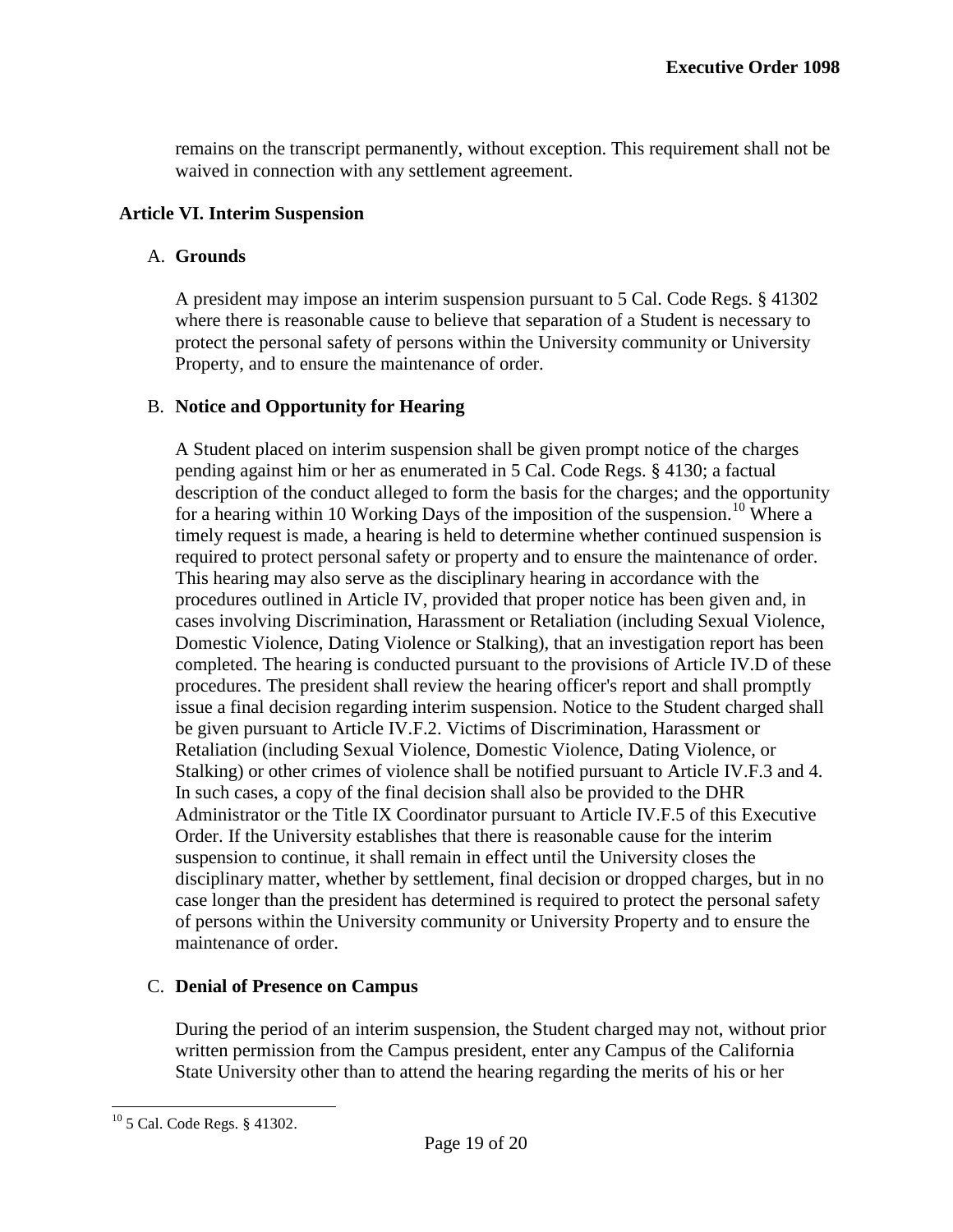remains on the transcript permanently, without exception. This requirement shall not be waived in connection with any settlement agreement.

## **Article VI. Interim Suspension**

## A. **Grounds**

A president may impose an interim suspension pursuant to 5 Cal. Code Regs. § 41302 where there is reasonable cause to believe that separation of a Student is necessary to protect the personal safety of persons within the University community or University Property, and to ensure the maintenance of order.

# B. **Notice and Opportunity for Hearing**

A Student placed on interim suspension shall be given prompt notice of the charges pending against him or her as enumerated in 5 Cal. Code Regs. § 4130; a factual description of the conduct alleged to form the basis for the charges; and the opportunity for a hearing within [10](#page-18-0) Working Days of the imposition of the suspension.<sup>10</sup> Where a timely request is made, a hearing is held to determine whether continued suspension is required to protect personal safety or property and to ensure the maintenance of order. This hearing may also serve as the disciplinary hearing in accordance with the procedures outlined in Article IV, provided that proper notice has been given and, in cases involving Discrimination, Harassment or Retaliation (including Sexual Violence, Domestic Violence, Dating Violence or Stalking), that an investigation report has been completed. The hearing is conducted pursuant to the provisions of Article IV.D of these procedures. The president shall review the hearing officer's report and shall promptly issue a final decision regarding interim suspension. Notice to the Student charged shall be given pursuant to Article IV.F.2. Victims of Discrimination, Harassment or Retaliation (including Sexual Violence, Domestic Violence, Dating Violence, or Stalking) or other crimes of violence shall be notified pursuant to Article IV.F.3 and 4. In such cases, a copy of the final decision shall also be provided to the DHR Administrator or the Title IX Coordinator pursuant to Article IV.F.5 of this Executive Order. If the University establishes that there is reasonable cause for the interim suspension to continue, it shall remain in effect until the University closes the disciplinary matter, whether by settlement, final decision or dropped charges, but in no case longer than the president has determined is required to protect the personal safety of persons within the University community or University Property and to ensure the maintenance of order.

# C. **Denial of Presence on Campus**

During the period of an interim suspension, the Student charged may not, without prior written permission from the Campus president, enter any Campus of the California State University other than to attend the hearing regarding the merits of his or her

<span id="page-19-0"></span><sup>10</sup> 5 Cal. Code Regs. § 41302.